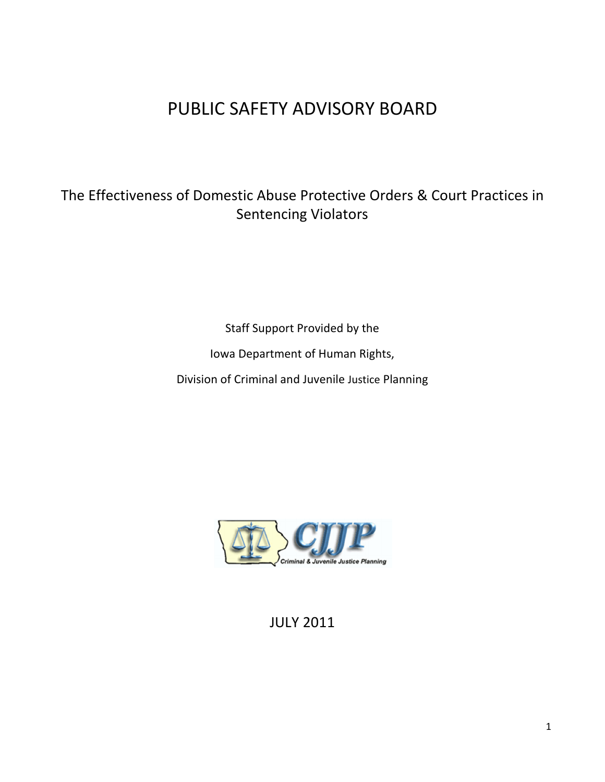# PUBLIC SAFETY ADVISORY BOARD

## The Effectiveness of Domestic Abuse Protective Orders & Court Practices in Sentencing Violators

Staff Support Provided by the

Iowa Department of Human Rights,

Division of Criminal and Juvenile Justice Planning



JULY 2011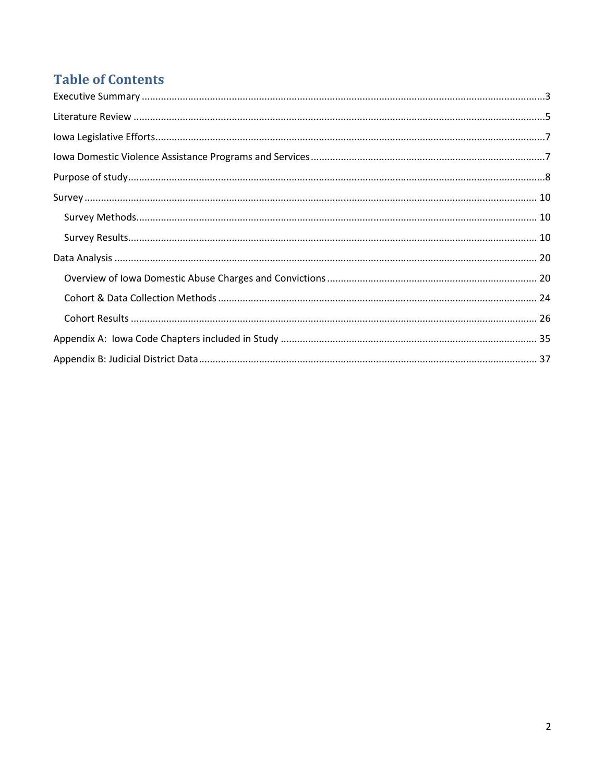# **Table of Contents**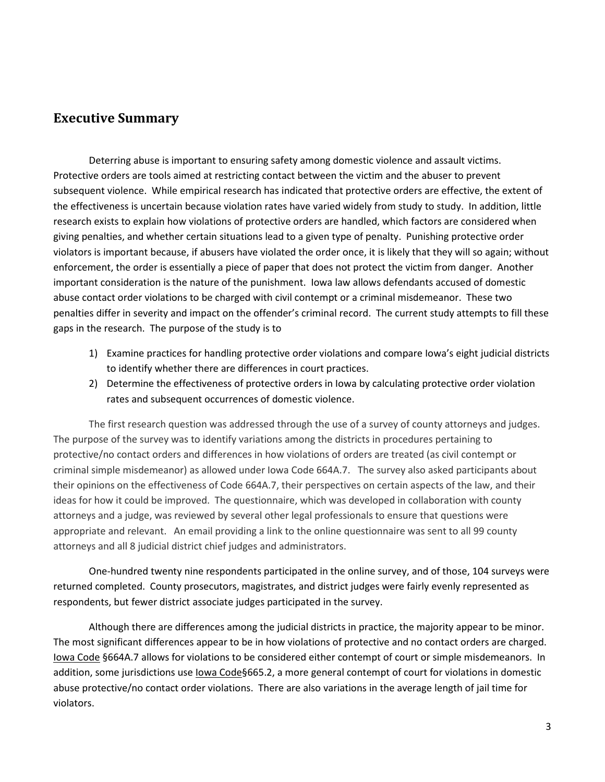## Executive Summary

Deterring abuse is important to ensuring safety among domestic violence and assault victims. Protective orders are tools aimed at restricting contact between the victim and the abuser to prevent subsequent violence. While empirical research has indicated that protective orders are effective, the extent of the effectiveness is uncertain because violation rates have varied widely from study to study. In addition, little research exists to explain how violations of protective orders are handled, which factors are considered when giving penalties, and whether certain situations lead to a given type of penalty. Punishing protective order violators is important because, if abusers have violated the order once, it is likely that they will so again; without enforcement, the order is essentially a piece of paper that does not protect the victim from danger. Another important consideration is the nature of the punishment. Iowa law allows defendants accused of domestic abuse contact order violations to be charged with civil contempt or a criminal misdemeanor. These two penalties differ in severity and impact on the offender's criminal record. The current study attempts to fill these gaps in the research. The purpose of the study is to

- 1) Examine practices for handling protective order violations and compare Iowa's eight judicial districts to identify whether there are differences in court practices.
- 2) Determine the effectiveness of protective orders in Iowa by calculating protective order violation rates and subsequent occurrences of domestic violence.

The first research question was addressed through the use of a survey of county attorneys and judges. The purpose of the survey was to identify variations among the districts in procedures pertaining to protective/no contact orders and differences in how violations of orders are treated (as civil contempt or criminal simple misdemeanor) as allowed under Iowa Code 664A.7. The survey also asked participants about their opinions on the effectiveness of Code 664A.7, their perspectives on certain aspects of the law, and their ideas for how it could be improved. The questionnaire, which was developed in collaboration with county attorneys and a judge, was reviewed by several other legal professionals to ensure that questions were appropriate and relevant. An email providing a link to the online questionnaire was sent to all 99 county attorneys and all 8 judicial district chief judges and administrators.

One-hundred twenty nine respondents participated in the online survey, and of those, 104 surveys were returned completed. County prosecutors, magistrates, and district judges were fairly evenly represented as respondents, but fewer district associate judges participated in the survey.

Although there are differences among the judicial districts in practice, the majority appear to be minor. The most significant differences appear to be in how violations of protective and no contact orders are charged. Iowa Code §664A.7 allows for violations to be considered either contempt of court or simple misdemeanors. In addition, some jurisdictions use lowa Code§665.2, a more general contempt of court for violations in domestic abuse protective/no contact order violations. There are also variations in the average length of jail time for violators.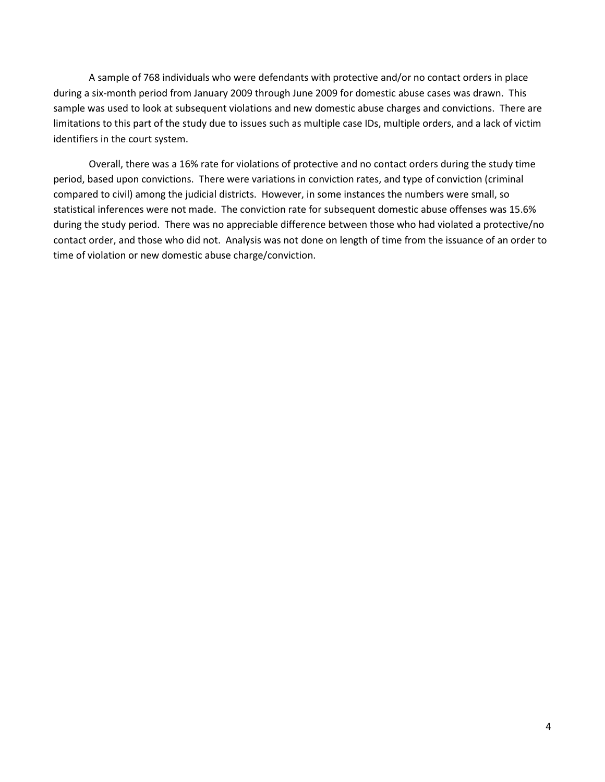A sample of 768 individuals who were defendants with protective and/or no contact orders in place during a six-month period from January 2009 through June 2009 for domestic abuse cases was drawn. This sample was used to look at subsequent violations and new domestic abuse charges and convictions. There are limitations to this part of the study due to issues such as multiple case IDs, multiple orders, and a lack of victim identifiers in the court system.

Overall, there was a 16% rate for violations of protective and no contact orders during the study time period, based upon convictions. There were variations in conviction rates, and type of conviction (criminal compared to civil) among the judicial districts. However, in some instances the numbers were small, so statistical inferences were not made. The conviction rate for subsequent domestic abuse offenses was 15.6% during the study period. There was no appreciable difference between those who had violated a protective/no contact order, and those who did not. Analysis was not done on length of time from the issuance of an order to time of violation or new domestic abuse charge/conviction.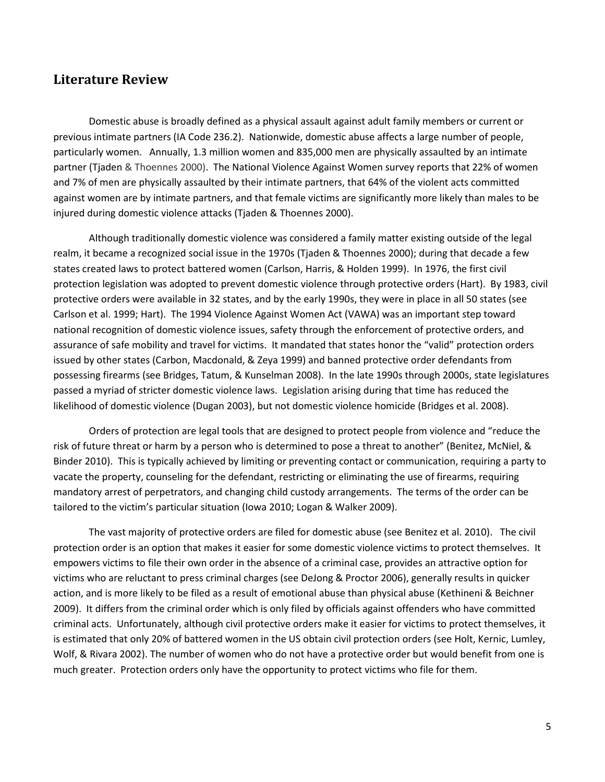## Literature Review

Domestic abuse is broadly defined as a physical assault against adult family members or current or previous intimate partners (IA Code 236.2). Nationwide, domestic abuse affects a large number of people, particularly women. Annually, 1.3 million women and 835,000 men are physically assaulted by an intimate partner (Tjaden & Thoennes 2000). The National Violence Against Women survey reports that 22% of women and 7% of men are physically assaulted by their intimate partners, that 64% of the violent acts committed against women are by intimate partners, and that female victims are significantly more likely than males to be injured during domestic violence attacks (Tjaden & Thoennes 2000).

Although traditionally domestic violence was considered a family matter existing outside of the legal realm, it became a recognized social issue in the 1970s (Tjaden & Thoennes 2000); during that decade a few states created laws to protect battered women (Carlson, Harris, & Holden 1999). In 1976, the first civil protection legislation was adopted to prevent domestic violence through protective orders (Hart). By 1983, civil protective orders were available in 32 states, and by the early 1990s, they were in place in all 50 states (see Carlson et al. 1999; Hart). The 1994 Violence Against Women Act (VAWA) was an important step toward national recognition of domestic violence issues, safety through the enforcement of protective orders, and assurance of safe mobility and travel for victims. It mandated that states honor the "valid" protection orders issued by other states (Carbon, Macdonald, & Zeya 1999) and banned protective order defendants from possessing firearms (see Bridges, Tatum, & Kunselman 2008). In the late 1990s through 2000s, state legislatures passed a myriad of stricter domestic violence laws. Legislation arising during that time has reduced the likelihood of domestic violence (Dugan 2003), but not domestic violence homicide (Bridges et al. 2008).

Orders of protection are legal tools that are designed to protect people from violence and "reduce the risk of future threat or harm by a person who is determined to pose a threat to another" (Benitez, McNiel, & Binder 2010). This is typically achieved by limiting or preventing contact or communication, requiring a party to vacate the property, counseling for the defendant, restricting or eliminating the use of firearms, requiring mandatory arrest of perpetrators, and changing child custody arrangements. The terms of the order can be tailored to the victim's particular situation (Iowa 2010; Logan & Walker 2009).

The vast majority of protective orders are filed for domestic abuse (see Benitez et al. 2010). The civil protection order is an option that makes it easier for some domestic violence victims to protect themselves. It empowers victims to file their own order in the absence of a criminal case, provides an attractive option for victims who are reluctant to press criminal charges (see DeJong & Proctor 2006), generally results in quicker action, and is more likely to be filed as a result of emotional abuse than physical abuse (Kethineni & Beichner 2009). It differs from the criminal order which is only filed by officials against offenders who have committed criminal acts. Unfortunately, although civil protective orders make it easier for victims to protect themselves, it is estimated that only 20% of battered women in the US obtain civil protection orders (see Holt, Kernic, Lumley, Wolf, & Rivara 2002). The number of women who do not have a protective order but would benefit from one is much greater. Protection orders only have the opportunity to protect victims who file for them.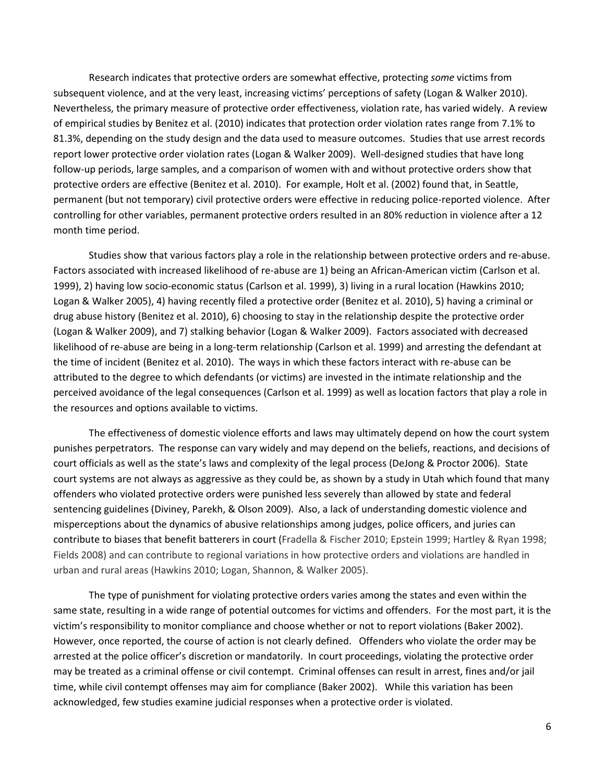Research indicates that protective orders are somewhat effective, protecting some victims from subsequent violence, and at the very least, increasing victims' perceptions of safety (Logan & Walker 2010). Nevertheless, the primary measure of protective order effectiveness, violation rate, has varied widely. A review of empirical studies by Benitez et al. (2010) indicates that protection order violation rates range from 7.1% to 81.3%, depending on the study design and the data used to measure outcomes. Studies that use arrest records report lower protective order violation rates (Logan & Walker 2009). Well-designed studies that have long follow-up periods, large samples, and a comparison of women with and without protective orders show that protective orders are effective (Benitez et al. 2010). For example, Holt et al. (2002) found that, in Seattle, permanent (but not temporary) civil protective orders were effective in reducing police-reported violence. After controlling for other variables, permanent protective orders resulted in an 80% reduction in violence after a 12 month time period.

Studies show that various factors play a role in the relationship between protective orders and re-abuse. Factors associated with increased likelihood of re-abuse are 1) being an African-American victim (Carlson et al. 1999), 2) having low socio-economic status (Carlson et al. 1999), 3) living in a rural location (Hawkins 2010; Logan & Walker 2005), 4) having recently filed a protective order (Benitez et al. 2010), 5) having a criminal or drug abuse history (Benitez et al. 2010), 6) choosing to stay in the relationship despite the protective order (Logan & Walker 2009), and 7) stalking behavior (Logan & Walker 2009). Factors associated with decreased likelihood of re-abuse are being in a long-term relationship (Carlson et al. 1999) and arresting the defendant at the time of incident (Benitez et al. 2010). The ways in which these factors interact with re-abuse can be attributed to the degree to which defendants (or victims) are invested in the intimate relationship and the perceived avoidance of the legal consequences (Carlson et al. 1999) as well as location factors that play a role in the resources and options available to victims.

The effectiveness of domestic violence efforts and laws may ultimately depend on how the court system punishes perpetrators. The response can vary widely and may depend on the beliefs, reactions, and decisions of court officials as well as the state's laws and complexity of the legal process (DeJong & Proctor 2006). State court systems are not always as aggressive as they could be, as shown by a study in Utah which found that many offenders who violated protective orders were punished less severely than allowed by state and federal sentencing guidelines (Diviney, Parekh, & Olson 2009). Also, a lack of understanding domestic violence and misperceptions about the dynamics of abusive relationships among judges, police officers, and juries can contribute to biases that benefit batterers in court (Fradella & Fischer 2010; Epstein 1999; Hartley & Ryan 1998; Fields 2008) and can contribute to regional variations in how protective orders and violations are handled in urban and rural areas (Hawkins 2010; Logan, Shannon, & Walker 2005).

The type of punishment for violating protective orders varies among the states and even within the same state, resulting in a wide range of potential outcomes for victims and offenders. For the most part, it is the victim's responsibility to monitor compliance and choose whether or not to report violations (Baker 2002). However, once reported, the course of action is not clearly defined. Offenders who violate the order may be arrested at the police officer's discretion or mandatorily. In court proceedings, violating the protective order may be treated as a criminal offense or civil contempt. Criminal offenses can result in arrest, fines and/or jail time, while civil contempt offenses may aim for compliance (Baker 2002). While this variation has been acknowledged, few studies examine judicial responses when a protective order is violated.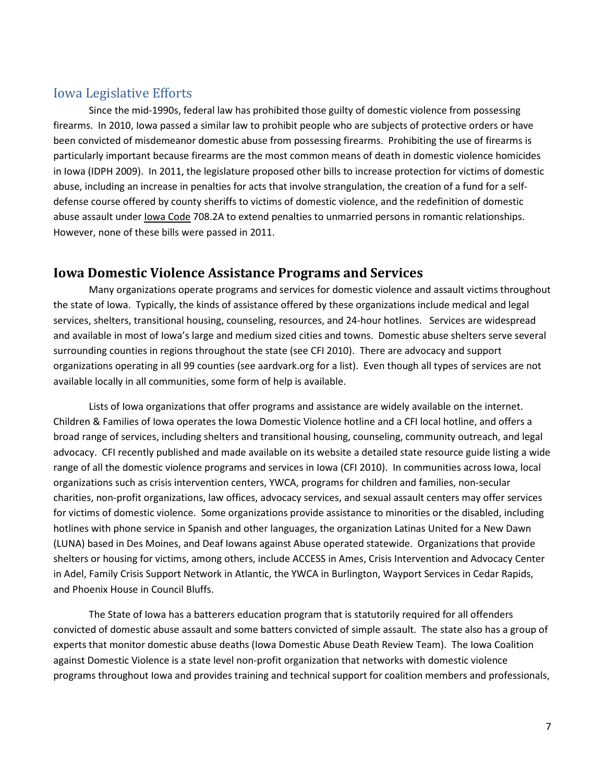## Iowa Legislative Efforts

Since the mid-1990s, federal law has prohibited those guilty of domestic violence from possessing firearms. In 2010, Iowa passed a similar law to prohibit people who are subjects of protective orders or have been convicted of misdemeanor domestic abuse from possessing firearms. Prohibiting the use of firearms is particularly important because firearms are the most common means of death in domestic violence homicides in Iowa (IDPH 2009). In 2011, the legislature proposed other bills to increase protection for victims of domestic abuse, including an increase in penalties for acts that involve strangulation, the creation of a fund for a selfdefense course offered by county sheriffs to victims of domestic violence, and the redefinition of domestic abuse assault under lowa Code 708.2A to extend penalties to unmarried persons in romantic relationships. However, none of these bills were passed in 2011.

## Iowa Domestic Violence Assistance Programs and Services

Many organizations operate programs and services for domestic violence and assault victims throughout the state of Iowa. Typically, the kinds of assistance offered by these organizations include medical and legal services, shelters, transitional housing, counseling, resources, and 24-hour hotlines. Services are widespread and available in most of Iowa's large and medium sized cities and towns. Domestic abuse shelters serve several surrounding counties in regions throughout the state (see CFI 2010). There are advocacy and support organizations operating in all 99 counties (see aardvark.org for a list). Even though all types of services are not available locally in all communities, some form of help is available.

Lists of Iowa organizations that offer programs and assistance are widely available on the internet. Children & Families of Iowa operates the Iowa Domestic Violence hotline and a CFI local hotline, and offers a broad range of services, including shelters and transitional housing, counseling, community outreach, and legal advocacy. CFI recently published and made available on its website a detailed state resource guide listing a wide range of all the domestic violence programs and services in Iowa (CFI 2010). In communities across Iowa, local organizations such as crisis intervention centers, YWCA, programs for children and families, non-secular charities, non-profit organizations, law offices, advocacy services, and sexual assault centers may offer services for victims of domestic violence. Some organizations provide assistance to minorities or the disabled, including hotlines with phone service in Spanish and other languages, the organization Latinas United for a New Dawn (LUNA) based in Des Moines, and Deaf Iowans against Abuse operated statewide. Organizations that provide shelters or housing for victims, among others, include ACCESS in Ames, Crisis Intervention and Advocacy Center in Adel, Family Crisis Support Network in Atlantic, the YWCA in Burlington, Wayport Services in Cedar Rapids, and Phoenix House in Council Bluffs.

The State of Iowa has a batterers education program that is statutorily required for all offenders convicted of domestic abuse assault and some batters convicted of simple assault. The state also has a group of experts that monitor domestic abuse deaths (Iowa Domestic Abuse Death Review Team). The Iowa Coalition against Domestic Violence is a state level non-profit organization that networks with domestic violence programs throughout Iowa and provides training and technical support for coalition members and professionals,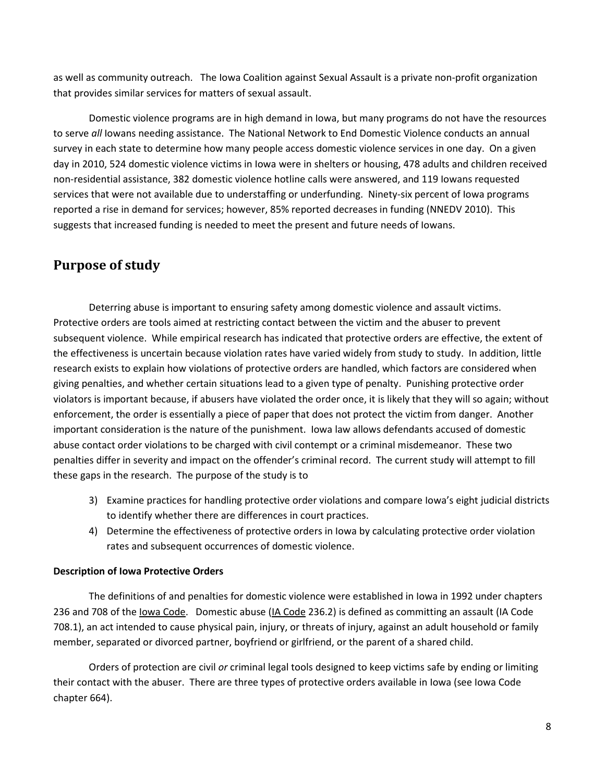as well as community outreach. The Iowa Coalition against Sexual Assault is a private non-profit organization that provides similar services for matters of sexual assault.

Domestic violence programs are in high demand in Iowa, but many programs do not have the resources to serve all Iowans needing assistance. The National Network to End Domestic Violence conducts an annual survey in each state to determine how many people access domestic violence services in one day. On a given day in 2010, 524 domestic violence victims in Iowa were in shelters or housing, 478 adults and children received non-residential assistance, 382 domestic violence hotline calls were answered, and 119 Iowans requested services that were not available due to understaffing or underfunding. Ninety-six percent of Iowa programs reported a rise in demand for services; however, 85% reported decreases in funding (NNEDV 2010). This suggests that increased funding is needed to meet the present and future needs of Iowans.

## Purpose of study

Deterring abuse is important to ensuring safety among domestic violence and assault victims. Protective orders are tools aimed at restricting contact between the victim and the abuser to prevent subsequent violence. While empirical research has indicated that protective orders are effective, the extent of the effectiveness is uncertain because violation rates have varied widely from study to study. In addition, little research exists to explain how violations of protective orders are handled, which factors are considered when giving penalties, and whether certain situations lead to a given type of penalty. Punishing protective order violators is important because, if abusers have violated the order once, it is likely that they will so again; without enforcement, the order is essentially a piece of paper that does not protect the victim from danger. Another important consideration is the nature of the punishment. Iowa law allows defendants accused of domestic abuse contact order violations to be charged with civil contempt or a criminal misdemeanor. These two penalties differ in severity and impact on the offender's criminal record. The current study will attempt to fill these gaps in the research. The purpose of the study is to

- 3) Examine practices for handling protective order violations and compare Iowa's eight judicial districts to identify whether there are differences in court practices.
- 4) Determine the effectiveness of protective orders in Iowa by calculating protective order violation rates and subsequent occurrences of domestic violence.

#### Description of Iowa Protective Orders

The definitions of and penalties for domestic violence were established in Iowa in 1992 under chapters 236 and 708 of the Iowa Code. Domestic abuse (IA Code 236.2) is defined as committing an assault (IA Code 708.1), an act intended to cause physical pain, injury, or threats of injury, against an adult household or family member, separated or divorced partner, boyfriend or girlfriend, or the parent of a shared child.

Orders of protection are civil or criminal legal tools designed to keep victims safe by ending or limiting their contact with the abuser. There are three types of protective orders available in Iowa (see Iowa Code chapter 664).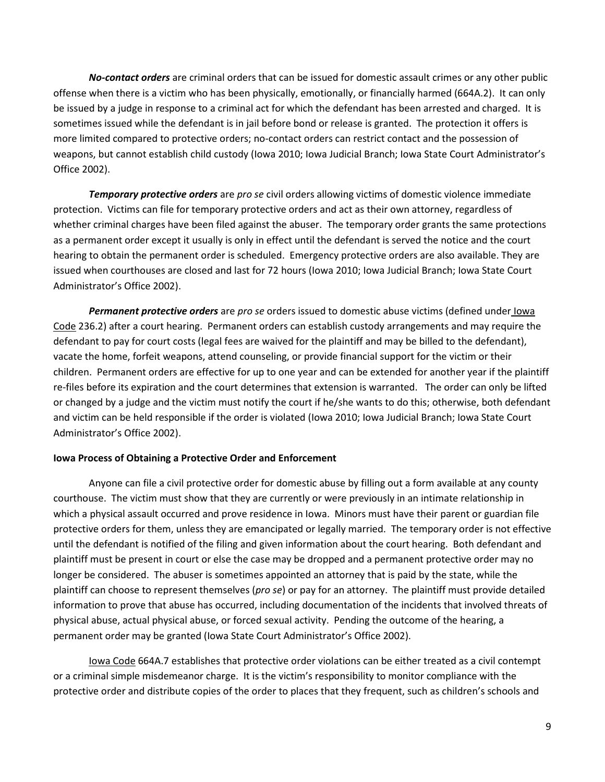No-contact orders are criminal orders that can be issued for domestic assault crimes or any other public offense when there is a victim who has been physically, emotionally, or financially harmed (664A.2). It can only be issued by a judge in response to a criminal act for which the defendant has been arrested and charged. It is sometimes issued while the defendant is in jail before bond or release is granted. The protection it offers is more limited compared to protective orders; no-contact orders can restrict contact and the possession of weapons, but cannot establish child custody (Iowa 2010; Iowa Judicial Branch; Iowa State Court Administrator's Office 2002).

Temporary protective orders are pro se civil orders allowing victims of domestic violence immediate protection. Victims can file for temporary protective orders and act as their own attorney, regardless of whether criminal charges have been filed against the abuser. The temporary order grants the same protections as a permanent order except it usually is only in effect until the defendant is served the notice and the court hearing to obtain the permanent order is scheduled. Emergency protective orders are also available. They are issued when courthouses are closed and last for 72 hours (Iowa 2010; Iowa Judicial Branch; Iowa State Court Administrator's Office 2002).

Permanent protective orders are pro se orders issued to domestic abuse victims (defined under Iowa Code 236.2) after a court hearing. Permanent orders can establish custody arrangements and may require the defendant to pay for court costs (legal fees are waived for the plaintiff and may be billed to the defendant), vacate the home, forfeit weapons, attend counseling, or provide financial support for the victim or their children. Permanent orders are effective for up to one year and can be extended for another year if the plaintiff re-files before its expiration and the court determines that extension is warranted. The order can only be lifted or changed by a judge and the victim must notify the court if he/she wants to do this; otherwise, both defendant and victim can be held responsible if the order is violated (Iowa 2010; Iowa Judicial Branch; Iowa State Court Administrator's Office 2002).

#### Iowa Process of Obtaining a Protective Order and Enforcement

Anyone can file a civil protective order for domestic abuse by filling out a form available at any county courthouse. The victim must show that they are currently or were previously in an intimate relationship in which a physical assault occurred and prove residence in Iowa. Minors must have their parent or guardian file protective orders for them, unless they are emancipated or legally married. The temporary order is not effective until the defendant is notified of the filing and given information about the court hearing. Both defendant and plaintiff must be present in court or else the case may be dropped and a permanent protective order may no longer be considered. The abuser is sometimes appointed an attorney that is paid by the state, while the plaintiff can choose to represent themselves (*pro se*) or pay for an attorney. The plaintiff must provide detailed information to prove that abuse has occurred, including documentation of the incidents that involved threats of physical abuse, actual physical abuse, or forced sexual activity. Pending the outcome of the hearing, a permanent order may be granted (Iowa State Court Administrator's Office 2002).

Iowa Code 664A.7 establishes that protective order violations can be either treated as a civil contempt or a criminal simple misdemeanor charge. It is the victim's responsibility to monitor compliance with the protective order and distribute copies of the order to places that they frequent, such as children's schools and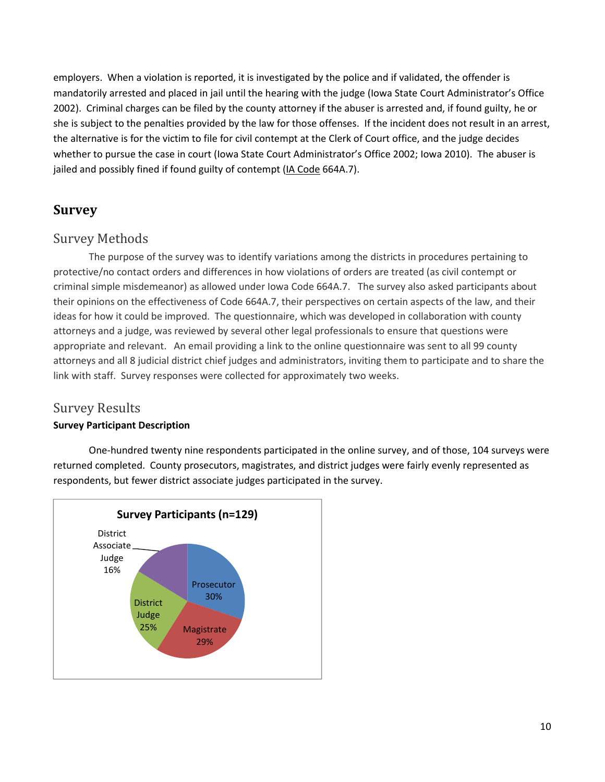employers. When a violation is reported, it is investigated by the police and if validated, the offender is mandatorily arrested and placed in jail until the hearing with the judge (Iowa State Court Administrator's Office 2002). Criminal charges can be filed by the county attorney if the abuser is arrested and, if found guilty, he or she is subject to the penalties provided by the law for those offenses. If the incident does not result in an arrest, the alternative is for the victim to file for civil contempt at the Clerk of Court office, and the judge decides whether to pursue the case in court (Iowa State Court Administrator's Office 2002; Iowa 2010). The abuser is jailed and possibly fined if found guilty of contempt (IA Code 664A.7).

## Survey

## Survey Methods

The purpose of the survey was to identify variations among the districts in procedures pertaining to protective/no contact orders and differences in how violations of orders are treated (as civil contempt or criminal simple misdemeanor) as allowed under Iowa Code 664A.7. The survey also asked participants about their opinions on the effectiveness of Code 664A.7, their perspectives on certain aspects of the law, and their ideas for how it could be improved. The questionnaire, which was developed in collaboration with county attorneys and a judge, was reviewed by several other legal professionals to ensure that questions were appropriate and relevant. An email providing a link to the online questionnaire was sent to all 99 county attorneys and all 8 judicial district chief judges and administrators, inviting them to participate and to share the link with staff. Survey responses were collected for approximately two weeks.

## Survey Results

## Survey Participant Description

One-hundred twenty nine respondents participated in the online survey, and of those, 104 surveys were returned completed. County prosecutors, magistrates, and district judges were fairly evenly represented as respondents, but fewer district associate judges participated in the survey.

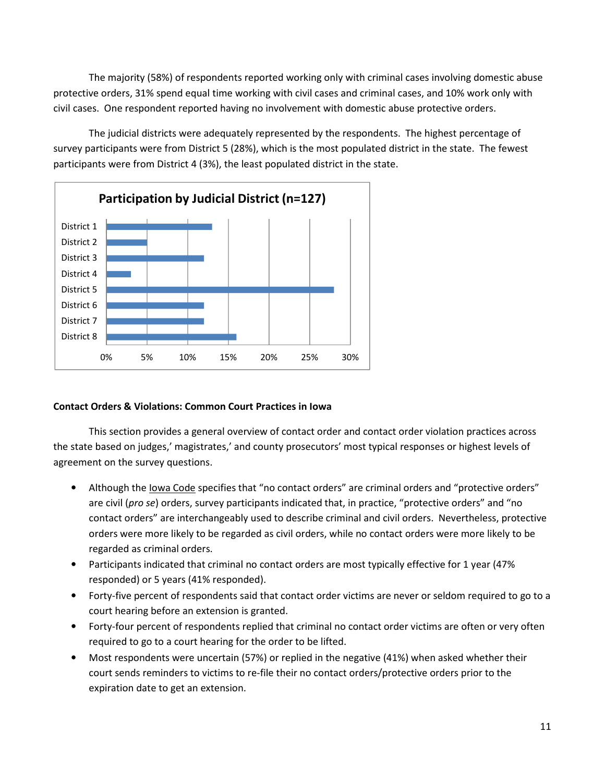The majority (58%) of respondents reported working only with criminal cases involving domestic abuse protective orders, 31% spend equal time working with civil cases and criminal cases, and 10% work only with civil cases. One respondent reported having no involvement with domestic abuse protective orders.

 The judicial districts were adequately represented by the respondents. The highest percentage of survey participants were from District 5 (28%), which is the most populated district in the state. The fewest participants were from District 4 (3%), the least populated district in the state.



## Contact Orders & Violations: Common Court Practices in Iowa

This section provides a general overview of contact order and contact order violation practices across the state based on judges,' magistrates,' and county prosecutors' most typical responses or highest levels of agreement on the survey questions.

- Although the Iowa Code specifies that "no contact orders" are criminal orders and "protective orders" are civil (pro se) orders, survey participants indicated that, in practice, "protective orders" and "no contact orders" are interchangeably used to describe criminal and civil orders. Nevertheless, protective orders were more likely to be regarded as civil orders, while no contact orders were more likely to be regarded as criminal orders.
- Participants indicated that criminal no contact orders are most typically effective for 1 year (47% responded) or 5 years (41% responded).
- Forty-five percent of respondents said that contact order victims are never or seldom required to go to a court hearing before an extension is granted.
- Forty-four percent of respondents replied that criminal no contact order victims are often or very often required to go to a court hearing for the order to be lifted.
- Most respondents were uncertain (57%) or replied in the negative (41%) when asked whether their court sends reminders to victims to re-file their no contact orders/protective orders prior to the expiration date to get an extension.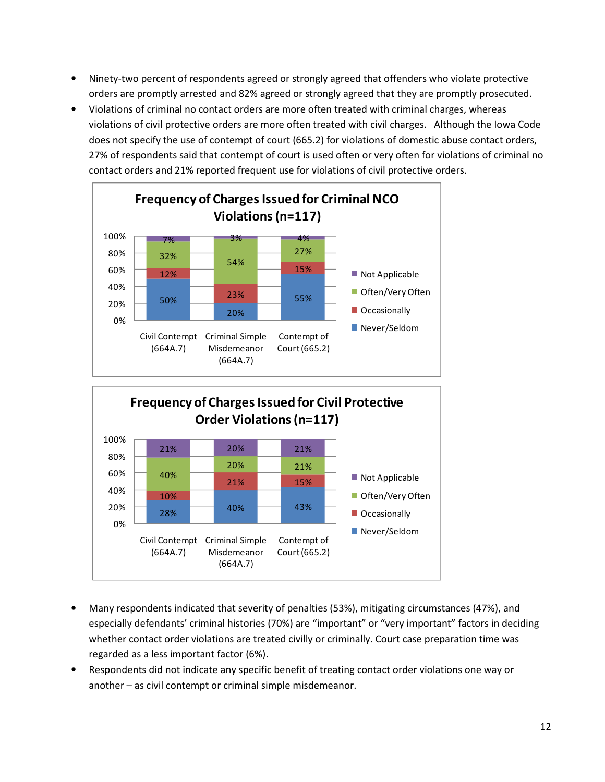- Ninety-two percent of respondents agreed or strongly agreed that offenders who violate protective orders are promptly arrested and 82% agreed or strongly agreed that they are promptly prosecuted.
- Violations of criminal no contact orders are more often treated with criminal charges, whereas violations of civil protective orders are more often treated with civil charges. Although the Iowa Code does not specify the use of contempt of court (665.2) for violations of domestic abuse contact orders, 27% of respondents said that contempt of court is used often or very often for violations of criminal no contact orders and 21% reported frequent use for violations of civil protective orders.





- Many respondents indicated that severity of penalties (53%), mitigating circumstances (47%), and especially defendants' criminal histories (70%) are "important" or "very important" factors in deciding whether contact order violations are treated civilly or criminally. Court case preparation time was regarded as a less important factor (6%).
- Respondents did not indicate any specific benefit of treating contact order violations one way or another – as civil contempt or criminal simple misdemeanor.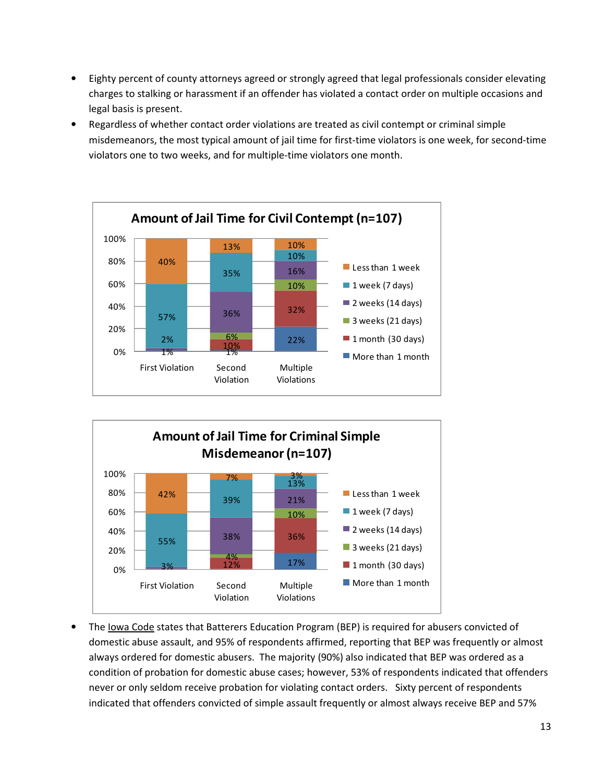- Eighty percent of county attorneys agreed or strongly agreed that legal professionals consider elevating charges to stalking or harassment if an offender has violated a contact order on multiple occasions and legal basis is present.
- Regardless of whether contact order violations are treated as civil contempt or criminal simple misdemeanors, the most typical amount of jail time for first-time violators is one week, for second-time violators one to two weeks, and for multiple-time violators one month.





• The Iowa Code states that Batterers Education Program (BEP) is required for abusers convicted of domestic abuse assault, and 95% of respondents affirmed, reporting that BEP was frequently or almost always ordered for domestic abusers. The majority (90%) also indicated that BEP was ordered as a condition of probation for domestic abuse cases; however, 53% of respondents indicated that offenders never or only seldom receive probation for violating contact orders. Sixty percent of respondents indicated that offenders convicted of simple assault frequently or almost always receive BEP and 57%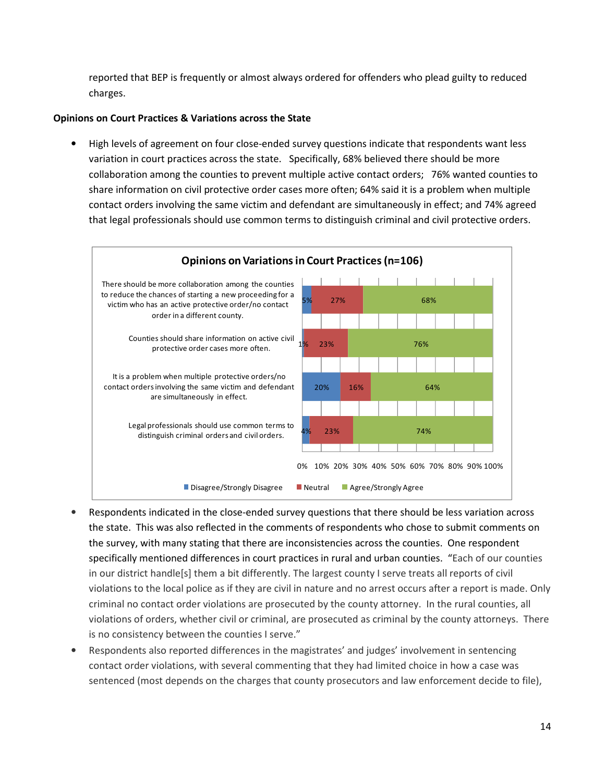reported that BEP is frequently or almost always ordered for offenders who plead guilty to reduced charges.

### Opinions on Court Practices & Variations across the State

• High levels of agreement on four close-ended survey questions indicate that respondents want less variation in court practices across the state. Specifically, 68% believed there should be more collaboration among the counties to prevent multiple active contact orders; 76% wanted counties to share information on civil protective order cases more often; 64% said it is a problem when multiple contact orders involving the same victim and defendant are simultaneously in effect; and 74% agreed that legal professionals should use common terms to distinguish criminal and civil protective orders.



- Respondents indicated in the close-ended survey questions that there should be less variation across the state. This was also reflected in the comments of respondents who chose to submit comments on the survey, with many stating that there are inconsistencies across the counties. One respondent specifically mentioned differences in court practices in rural and urban counties. "Each of our counties in our district handle[s] them a bit differently. The largest county I serve treats all reports of civil violations to the local police as if they are civil in nature and no arrest occurs after a report is made. Only criminal no contact order violations are prosecuted by the county attorney. In the rural counties, all violations of orders, whether civil or criminal, are prosecuted as criminal by the county attorneys. There is no consistency between the counties I serve."
- Respondents also reported differences in the magistrates' and judges' involvement in sentencing contact order violations, with several commenting that they had limited choice in how a case was sentenced (most depends on the charges that county prosecutors and law enforcement decide to file),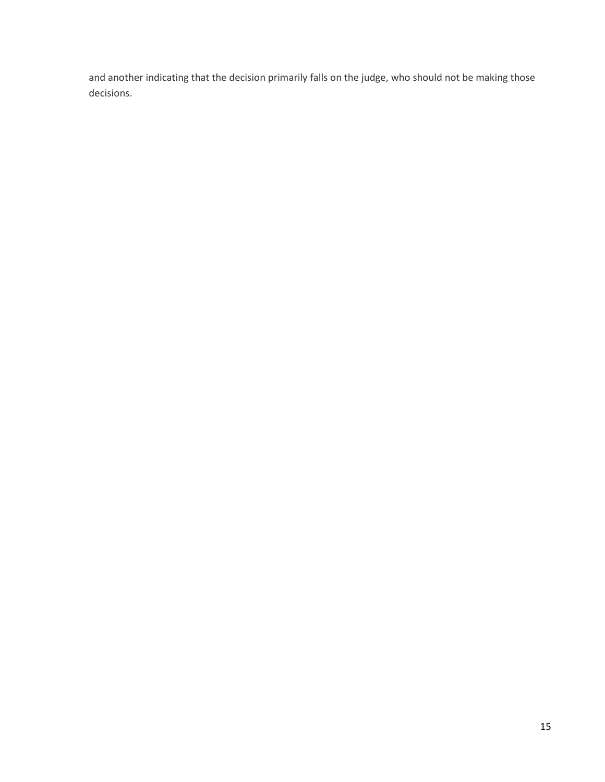and another indicating that the decision primarily falls on the judge, who should not be making those decisions.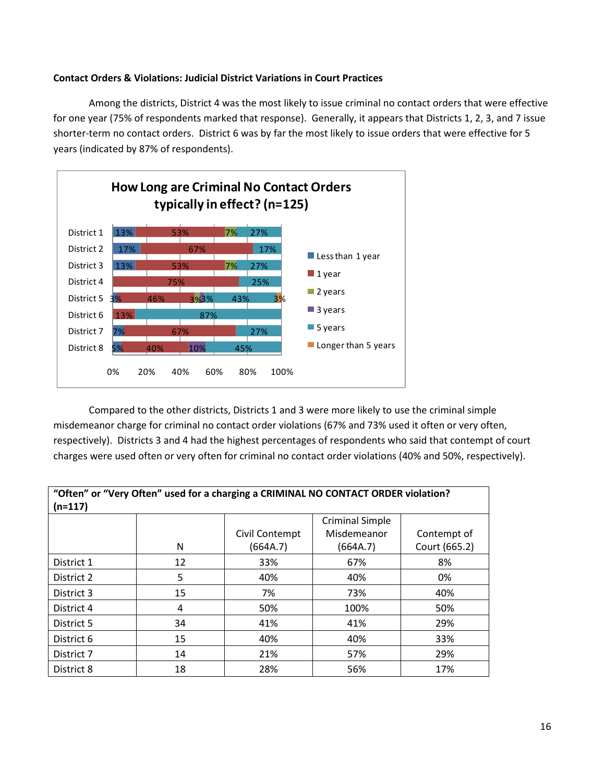#### Contact Orders & Violations: Judicial District Variations in Court Practices

Among the districts, District 4 was the most likely to issue criminal no contact orders that were effective for one year (75% of respondents marked that response). Generally, it appears that Districts 1, 2, 3, and 7 issue shorter-term no contact orders. District 6 was by far the most likely to issue orders that were effective for 5 years (indicated by 87% of respondents).



Compared to the other districts, Districts 1 and 3 were more likely to use the criminal simple misdemeanor charge for criminal no contact order violations (67% and 73% used it often or very often, respectively). Districts 3 and 4 had the highest percentages of respondents who said that contempt of court charges were used often or very often for criminal no contact order violations (40% and 50%, respectively).

| "Often" or "Very Often" used for a charging a CRIMINAL NO CONTACT ORDER violation? |    |                |                        |               |
|------------------------------------------------------------------------------------|----|----------------|------------------------|---------------|
| $(n=117)$                                                                          |    |                |                        |               |
|                                                                                    |    |                | <b>Criminal Simple</b> |               |
|                                                                                    |    | Civil Contempt | Misdemeanor            | Contempt of   |
|                                                                                    | N  | (664A.7)       | (664A.7)               | Court (665.2) |
| District 1                                                                         | 12 | 33%            | 67%                    | 8%            |
| District 2                                                                         | 5  | 40%            | 40%                    | 0%            |
| District 3                                                                         | 15 | 7%             | 73%                    | 40%           |
| District 4                                                                         | 4  | 50%            | 100%                   | 50%           |
| District 5                                                                         | 34 | 41%            | 41%                    | 29%           |
| District 6                                                                         | 15 | 40%            | 40%                    | 33%           |
| District 7                                                                         | 14 | 21%            | 57%                    | 29%           |
| District 8                                                                         | 18 | 28%            | 56%                    | 17%           |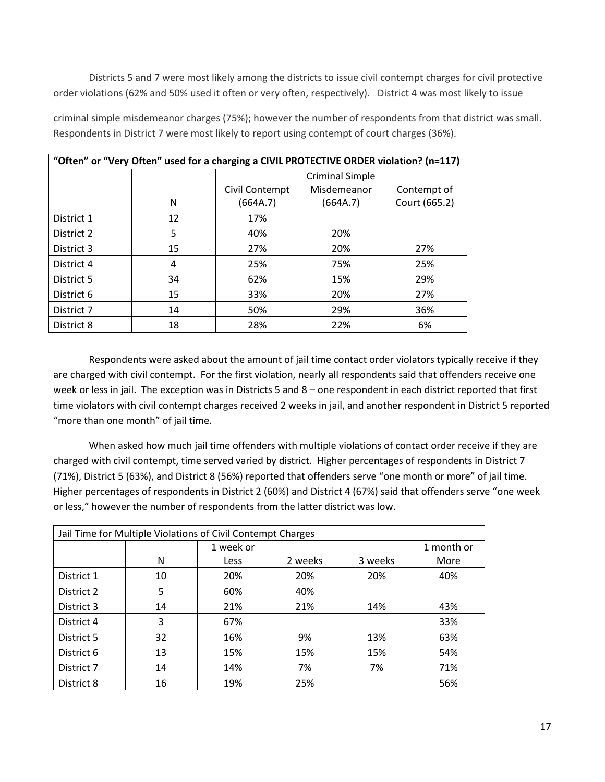Districts 5 and 7 were most likely among the districts to issue civil contempt charges for civil protective order violations (62% and 50% used it often or very often, respectively). District 4 was most likely to issue

| "Often" or "Very Often" used for a charging a CIVIL PROTECTIVE ORDER violation? (n=117) |    |                |                        |               |
|-----------------------------------------------------------------------------------------|----|----------------|------------------------|---------------|
|                                                                                         |    |                | <b>Criminal Simple</b> |               |
|                                                                                         |    | Civil Contempt | Misdemeanor            | Contempt of   |
|                                                                                         | N  | (664A.7)       | (664A.7)               | Court (665.2) |
| District 1                                                                              | 12 | 17%            |                        |               |
| District 2                                                                              | 5  | 40%            | 20%                    |               |
| District 3                                                                              | 15 | 27%            | 20%                    | 27%           |
| District 4                                                                              | 4  | 25%            | 75%                    | 25%           |
| District 5                                                                              | 34 | 62%            | 15%                    | 29%           |
| District 6                                                                              | 15 | 33%            | 20%                    | 27%           |
| District 7                                                                              | 14 | 50%            | 29%                    | 36%           |
| District 8                                                                              | 18 | 28%            | 22%                    | 6%            |

criminal simple misdemeanor charges (75%); however the number of respondents from that district was small. Respondents in District 7 were most likely to report using contempt of court charges (36%).

Respondents were asked about the amount of jail time contact order violators typically receive if they are charged with civil contempt. For the first violation, nearly all respondents said that offenders receive one week or less in jail. The exception was in Districts 5 and 8 – one respondent in each district reported that first time violators with civil contempt charges received 2 weeks in jail, and another respondent in District 5 reported "more than one month" of jail time.

 When asked how much jail time offenders with multiple violations of contact order receive if they are charged with civil contempt, time served varied by district. Higher percentages of respondents in District 7 (71%), District 5 (63%), and District 8 (56%) reported that offenders serve "one month or more" of jail time. Higher percentages of respondents in District 2 (60%) and District 4 (67%) said that offenders serve "one week or less," however the number of respondents from the latter district was low.

| Jail Time for Multiple Violations of Civil Contempt Charges |    |           |         |         |            |
|-------------------------------------------------------------|----|-----------|---------|---------|------------|
|                                                             |    | 1 week or |         |         | 1 month or |
|                                                             | N  | Less      | 2 weeks | 3 weeks | More       |
| District 1                                                  | 10 | 20%       | 20%     | 20%     | 40%        |
| District 2                                                  | 5  | 60%       | 40%     |         |            |
| District 3                                                  | 14 | 21%       | 21%     | 14%     | 43%        |
| District 4                                                  | 3  | 67%       |         |         | 33%        |
| District 5                                                  | 32 | 16%       | 9%      | 13%     | 63%        |
| District 6                                                  | 13 | 15%       | 15%     | 15%     | 54%        |
| District 7                                                  | 14 | 14%       | 7%      | 7%      | 71%        |
| District 8                                                  | 16 | 19%       | 25%     |         | 56%        |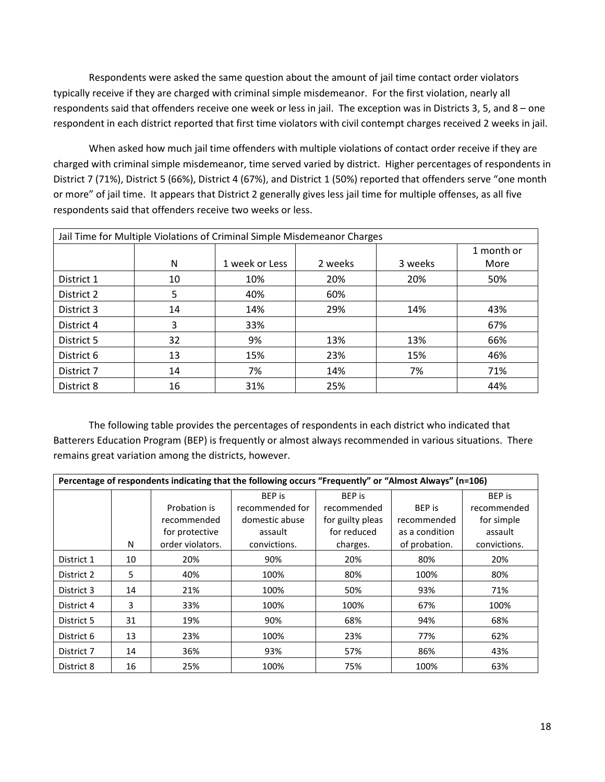Respondents were asked the same question about the amount of jail time contact order violators typically receive if they are charged with criminal simple misdemeanor. For the first violation, nearly all respondents said that offenders receive one week or less in jail. The exception was in Districts 3, 5, and 8 – one respondent in each district reported that first time violators with civil contempt charges received 2 weeks in jail.

When asked how much jail time offenders with multiple violations of contact order receive if they are charged with criminal simple misdemeanor, time served varied by district. Higher percentages of respondents in District 7 (71%), District 5 (66%), District 4 (67%), and District 1 (50%) reported that offenders serve "one month or more" of jail time. It appears that District 2 generally gives less jail time for multiple offenses, as all five respondents said that offenders receive two weeks or less.

| Jail Time for Multiple Violations of Criminal Simple Misdemeanor Charges |    |                |         |         |            |
|--------------------------------------------------------------------------|----|----------------|---------|---------|------------|
|                                                                          |    |                |         |         | 1 month or |
|                                                                          | N  | 1 week or Less | 2 weeks | 3 weeks | More       |
| District 1                                                               | 10 | 10%            | 20%     | 20%     | 50%        |
| District 2                                                               | 5  | 40%            | 60%     |         |            |
| District 3                                                               | 14 | 14%            | 29%     | 14%     | 43%        |
| District 4                                                               | 3  | 33%            |         |         | 67%        |
| District 5                                                               | 32 | 9%             | 13%     | 13%     | 66%        |
| District 6                                                               | 13 | 15%            | 23%     | 15%     | 46%        |
| District 7                                                               | 14 | 7%             | 14%     | 7%      | 71%        |
| District 8                                                               | 16 | 31%            | 25%     |         | 44%        |

The following table provides the percentages of respondents in each district who indicated that Batterers Education Program (BEP) is frequently or almost always recommended in various situations. There remains great variation among the districts, however.

|            | Percentage of respondents indicating that the following occurs "Frequently" or "Almost Always" (n=106) |                  |                 |                  |                |               |
|------------|--------------------------------------------------------------------------------------------------------|------------------|-----------------|------------------|----------------|---------------|
|            |                                                                                                        |                  | <b>BEP</b> is   | <b>BEP</b> is    |                | <b>BEP</b> is |
|            |                                                                                                        | Probation is     | recommended for | recommended      | <b>BEP</b> is  | recommended   |
|            |                                                                                                        | recommended      | domestic abuse  | for guilty pleas | recommended    | for simple    |
|            |                                                                                                        | for protective   | assault         | for reduced      | as a condition | assault       |
|            | N                                                                                                      | order violators. | convictions.    | charges.         | of probation.  | convictions.  |
| District 1 | 10                                                                                                     | 20%              | 90%             | 20%              | 80%            | 20%           |
| District 2 | 5                                                                                                      | 40%              | 100%            | 80%              | 100%           | 80%           |
| District 3 | 14                                                                                                     | 21%              | 100%            | 50%              | 93%            | 71%           |
| District 4 | 3                                                                                                      | 33%              | 100%            | 100%             | 67%            | 100%          |
| District 5 | 31                                                                                                     | 19%              | 90%             | 68%              | 94%            | 68%           |
| District 6 | 13                                                                                                     | 23%              | 100%            | 23%              | 77%            | 62%           |
| District 7 | 14                                                                                                     | 36%              | 93%             | 57%              | 86%            | 43%           |
| District 8 | 16                                                                                                     | 25%              | 100%            | 75%              | 100%           | 63%           |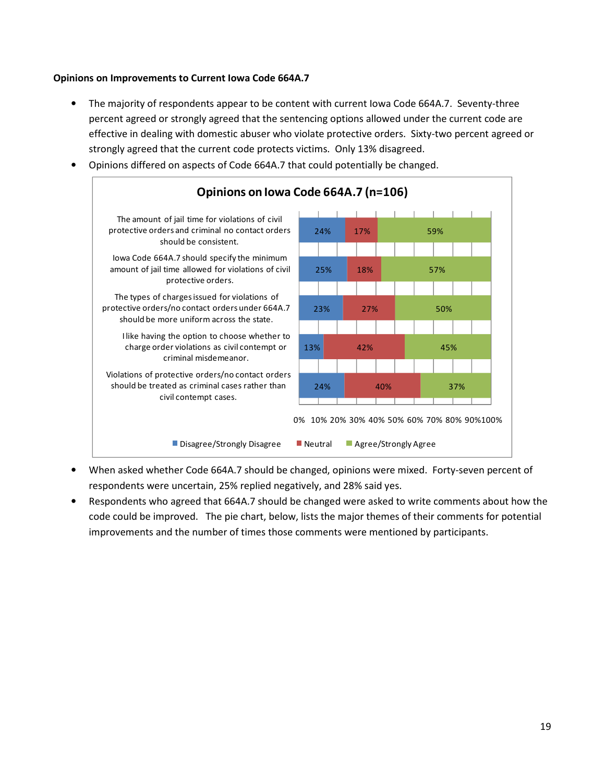#### Opinions on Improvements to Current Iowa Code 664A.7

- The majority of respondents appear to be content with current Iowa Code 664A.7. Seventy-three percent agreed or strongly agreed that the sentencing options allowed under the current code are effective in dealing with domestic abuser who violate protective orders. Sixty-two percent agreed or strongly agreed that the current code protects victims. Only 13% disagreed.
- Opinions differed on aspects of Code 664A.7 that could potentially be changed.



- When asked whether Code 664A.7 should be changed, opinions were mixed. Forty-seven percent of respondents were uncertain, 25% replied negatively, and 28% said yes.
- Respondents who agreed that 664A.7 should be changed were asked to write comments about how the code could be improved. The pie chart, below, lists the major themes of their comments for potential improvements and the number of times those comments were mentioned by participants.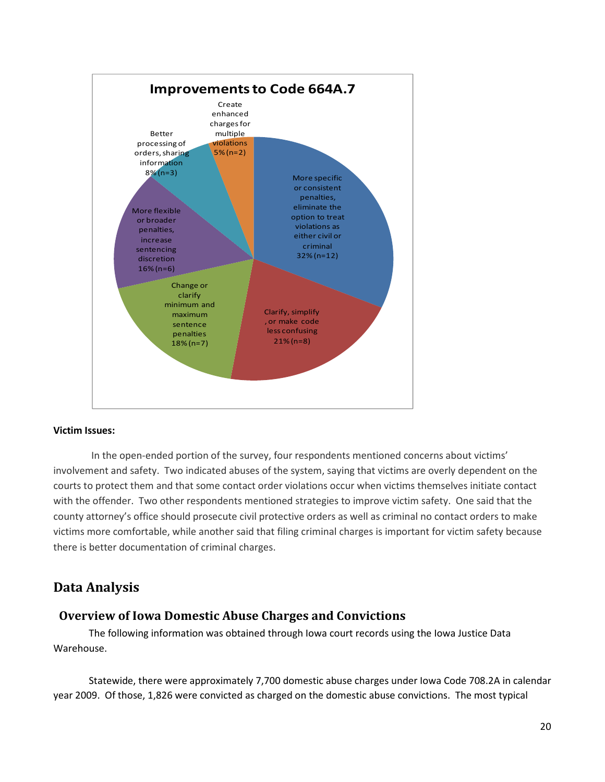

#### Victim Issues:

 In the open-ended portion of the survey, four respondents mentioned concerns about victims' involvement and safety. Two indicated abuses of the system, saying that victims are overly dependent on the courts to protect them and that some contact order violations occur when victims themselves initiate contact with the offender. Two other respondents mentioned strategies to improve victim safety. One said that the county attorney's office should prosecute civil protective orders as well as criminal no contact orders to make victims more comfortable, while another said that filing criminal charges is important for victim safety because there is better documentation of criminal charges.

## Data Analysis

## Overview of Iowa Domestic Abuse Charges and Convictions

The following information was obtained through Iowa court records using the Iowa Justice Data Warehouse.

 Statewide, there were approximately 7,700 domestic abuse charges under Iowa Code 708.2A in calendar year 2009. Of those, 1,826 were convicted as charged on the domestic abuse convictions. The most typical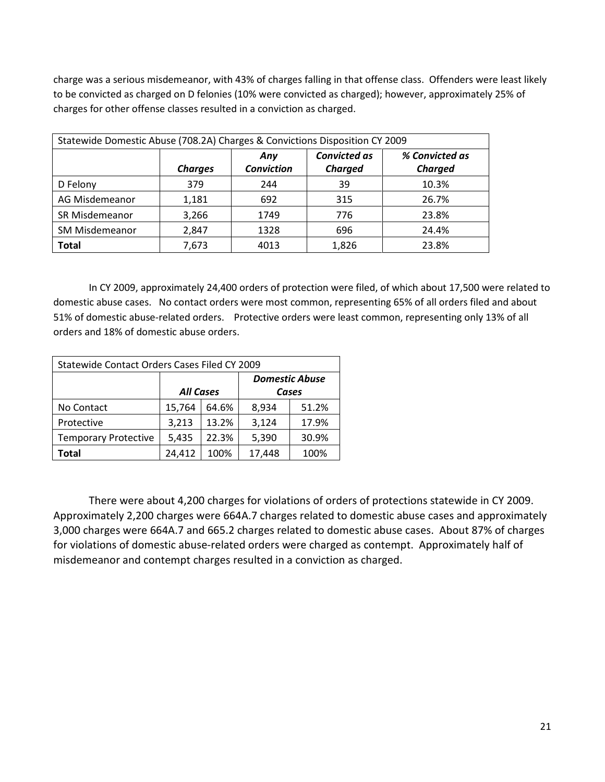charge was a serious misdemeanor, with 43% of charges falling in that offense class. Offenders were least likely to be convicted as charged on D felonies (10% were convicted as charged); however, approximately 25% of charges for other offense classes resulted in a conviction as charged.

| Statewide Domestic Abuse (708.2A) Charges & Convictions Disposition CY 2009 |                |                          |                                       |                                  |  |
|-----------------------------------------------------------------------------|----------------|--------------------------|---------------------------------------|----------------------------------|--|
|                                                                             | <b>Charges</b> | Any<br><b>Conviction</b> | <b>Convicted as</b><br><b>Charged</b> | % Convicted as<br><b>Charged</b> |  |
| D Felony                                                                    | 379            | 244                      | 39                                    | 10.3%                            |  |
| AG Misdemeanor                                                              | 1,181          | 692                      | 315                                   | 26.7%                            |  |
| SR Misdemeanor                                                              | 3,266          | 1749                     | 776                                   | 23.8%                            |  |
| <b>SM Misdemeanor</b>                                                       | 2,847          | 1328                     | 696                                   | 24.4%                            |  |
| <b>Total</b>                                                                | 7,673          | 4013                     | 1,826                                 | 23.8%                            |  |

 In CY 2009, approximately 24,400 orders of protection were filed, of which about 17,500 were related to domestic abuse cases. No contact orders were most common, representing 65% of all orders filed and about 51% of domestic abuse-related orders. Protective orders were least common, representing only 13% of all orders and 18% of domestic abuse orders.

| Statewide Contact Orders Cases Filed CY 2009           |                  |       |       |                       |  |
|--------------------------------------------------------|------------------|-------|-------|-----------------------|--|
|                                                        |                  |       |       | <b>Domestic Abuse</b> |  |
|                                                        | <b>All Cases</b> |       |       | Cases                 |  |
| No Contact                                             | 15,764           | 64.6% | 8,934 | 51.2%                 |  |
| Protective                                             | 3,213            | 13.2% | 3,124 | 17.9%                 |  |
| 22.3%<br>5,390<br><b>Temporary Protective</b><br>5,435 |                  |       |       | 30.9%                 |  |
| 24,412<br>17,448<br>100%<br>100%<br>Total              |                  |       |       |                       |  |

There were about 4,200 charges for violations of orders of protections statewide in CY 2009. Approximately 2,200 charges were 664A.7 charges related to domestic abuse cases and approximately 3,000 charges were 664A.7 and 665.2 charges related to domestic abuse cases. About 87% of charges for violations of domestic abuse-related orders were charged as contempt. Approximately half of misdemeanor and contempt charges resulted in a conviction as charged.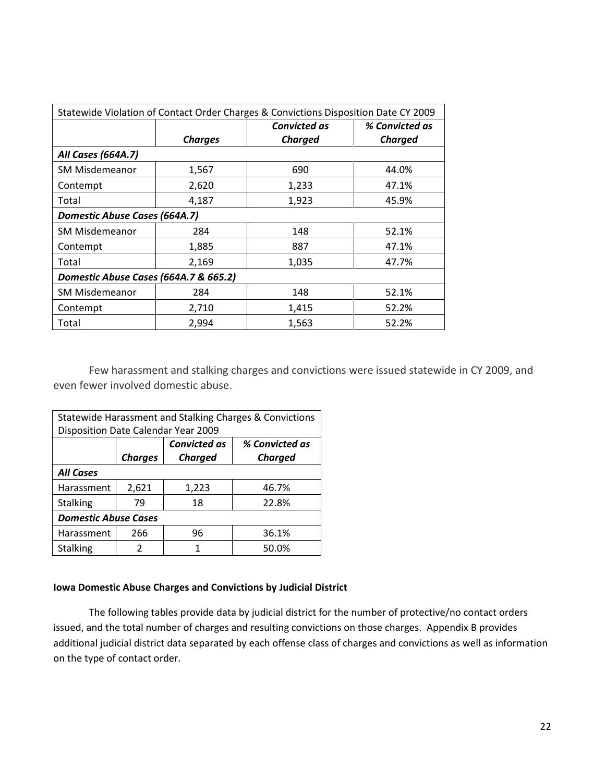| Statewide Violation of Contact Order Charges & Convictions Disposition Date CY 2009 |                                       |                     |                |  |  |  |
|-------------------------------------------------------------------------------------|---------------------------------------|---------------------|----------------|--|--|--|
|                                                                                     |                                       | <b>Convicted as</b> | % Convicted as |  |  |  |
|                                                                                     | <b>Charges</b>                        | Charged             | <b>Charged</b> |  |  |  |
| All Cases (664A.7)                                                                  |                                       |                     |                |  |  |  |
| <b>SM Misdemeanor</b>                                                               | 1,567                                 | 690                 | 44.0%          |  |  |  |
| Contempt                                                                            | 2,620                                 | 1,233               | 47.1%          |  |  |  |
| Total                                                                               | 4,187                                 | 1,923               | 45.9%          |  |  |  |
| Domestic Abuse Cases (664A.7)                                                       |                                       |                     |                |  |  |  |
| <b>SM Misdemeanor</b>                                                               | 284                                   | 148                 | 52.1%          |  |  |  |
| Contempt                                                                            | 1,885                                 | 887                 | 47.1%          |  |  |  |
| Total                                                                               | 2,169                                 | 1,035               | 47.7%          |  |  |  |
|                                                                                     | Domestic Abuse Cases (664A.7 & 665.2) |                     |                |  |  |  |
| <b>SM Misdemeanor</b>                                                               | 284                                   | 148                 | 52.1%          |  |  |  |
| Contempt                                                                            | 2,710                                 | 1,415               | 52.2%          |  |  |  |
| Total                                                                               | 2,994                                 | 1,563               | 52.2%          |  |  |  |

 Few harassment and stalking charges and convictions were issued statewide in CY 2009, and even fewer involved domestic abuse.

| Statewide Harassment and Stalking Charges & Convictions |                                       |                |                |  |  |
|---------------------------------------------------------|---------------------------------------|----------------|----------------|--|--|
| Disposition Date Calendar Year 2009                     |                                       |                |                |  |  |
|                                                         | <b>Convicted as</b><br>% Convicted as |                |                |  |  |
|                                                         | <b>Charges</b>                        | <b>Charged</b> | <b>Charged</b> |  |  |
| <b>All Cases</b>                                        |                                       |                |                |  |  |
| Harassment                                              | 2,621                                 | 1,223          | 46.7%          |  |  |
| <b>Stalking</b>                                         | 79                                    | 18             | 22.8%          |  |  |
| <b>Domestic Abuse Cases</b>                             |                                       |                |                |  |  |
| Harassment                                              | 266<br>96<br>36.1%                    |                |                |  |  |
| <b>Stalking</b>                                         | 2                                     | 1              | 50.0%          |  |  |

#### Iowa Domestic Abuse Charges and Convictions by Judicial District

The following tables provide data by judicial district for the number of protective/no contact orders issued, and the total number of charges and resulting convictions on those charges. Appendix B provides additional judicial district data separated by each offense class of charges and convictions as well as information on the type of contact order.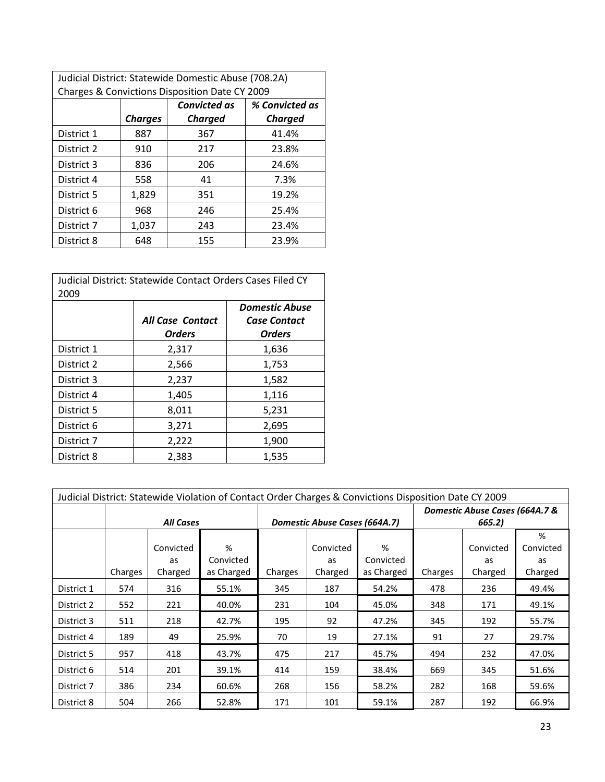| Judicial District: Statewide Domestic Abuse (708.2A) |                |                     |                |  |  |  |
|------------------------------------------------------|----------------|---------------------|----------------|--|--|--|
| Charges & Convictions Disposition Date CY 2009       |                |                     |                |  |  |  |
|                                                      |                | <b>Convicted as</b> | % Convicted as |  |  |  |
|                                                      | <b>Charges</b> | <b>Charged</b>      | <b>Charged</b> |  |  |  |
| District 1                                           | 887            | 367                 | 41.4%          |  |  |  |
| District 2                                           | 910            | 217                 | 23.8%          |  |  |  |
| District 3                                           | 836            | 206                 | 24.6%          |  |  |  |
| District 4                                           | 558            | 41                  | 7.3%           |  |  |  |
| District 5                                           | 1,829          | 351                 | 19.2%          |  |  |  |
| District 6                                           | 968            | 246                 | 25.4%          |  |  |  |
| District 7                                           | 1,037          | 243                 | 23.4%          |  |  |  |
| District 8                                           | 648            | 155                 | 23.9%          |  |  |  |

| Judicial District: Statewide Contact Orders Cases Filed CY<br>2009 |                                          |                                                               |  |  |  |
|--------------------------------------------------------------------|------------------------------------------|---------------------------------------------------------------|--|--|--|
|                                                                    | <b>All Case Contact</b><br><b>Orders</b> | <b>Domestic Abuse</b><br><b>Case Contact</b><br><b>Orders</b> |  |  |  |
| District 1                                                         | 2,317                                    | 1,636                                                         |  |  |  |
| District 2                                                         | 2,566                                    | 1,753                                                         |  |  |  |
| District 3                                                         | 2,237                                    | 1,582                                                         |  |  |  |
| District 4                                                         | 1,405                                    | 1,116                                                         |  |  |  |
| District 5                                                         | 8,011                                    | 5,231                                                         |  |  |  |
| District 6                                                         | 3,271                                    | 2,695                                                         |  |  |  |
| District 7                                                         | 2,222                                    | 1,900                                                         |  |  |  |
| District 8                                                         | 2.383                                    | 1,535                                                         |  |  |  |

|            | Judicial District: Statewide Violation of Contact Order Charges & Convictions Disposition Date CY 2009 |                            |                              |         |                               |                              |                                          |                            |                                 |  |  |
|------------|--------------------------------------------------------------------------------------------------------|----------------------------|------------------------------|---------|-------------------------------|------------------------------|------------------------------------------|----------------------------|---------------------------------|--|--|
|            |                                                                                                        | <b>All Cases</b>           |                              |         | Domestic Abuse Cases (664A.7) |                              | Domestic Abuse Cases (664A.7 &<br>665.2) |                            |                                 |  |  |
|            | Charges                                                                                                | Convicted<br>as<br>Charged | %<br>Convicted<br>as Charged | Charges | Convicted<br>as<br>Charged    | %<br>Convicted<br>as Charged | Charges                                  | Convicted<br>as<br>Charged | %<br>Convicted<br>as<br>Charged |  |  |
| District 1 | 574                                                                                                    | 316                        | 55.1%                        | 345     | 187                           | 54.2%                        | 478                                      | 236                        | 49.4%                           |  |  |
| District 2 | 552                                                                                                    | 221                        | 40.0%                        | 231     | 104                           | 45.0%                        | 348                                      | 171                        | 49.1%                           |  |  |
| District 3 | 511                                                                                                    | 218                        | 42.7%                        | 195     | 92                            | 47.2%                        | 345                                      | 192                        | 55.7%                           |  |  |
| District 4 | 189                                                                                                    | 49                         | 25.9%                        | 70      | 19                            | 27.1%                        | 91                                       | 27                         | 29.7%                           |  |  |
| District 5 | 957                                                                                                    | 418                        | 43.7%                        | 475     | 217                           | 45.7%                        | 494                                      | 232                        | 47.0%                           |  |  |
| District 6 | 514                                                                                                    | 201                        | 39.1%                        | 414     | 159                           | 38.4%                        | 669                                      | 345                        | 51.6%                           |  |  |
| District 7 | 386                                                                                                    | 234                        | 60.6%                        | 268     | 156                           | 58.2%                        | 282                                      | 168                        | 59.6%                           |  |  |
| District 8 | 504                                                                                                    | 266                        | 52.8%                        | 171     | 101                           | 59.1%                        | 287                                      | 192                        | 66.9%                           |  |  |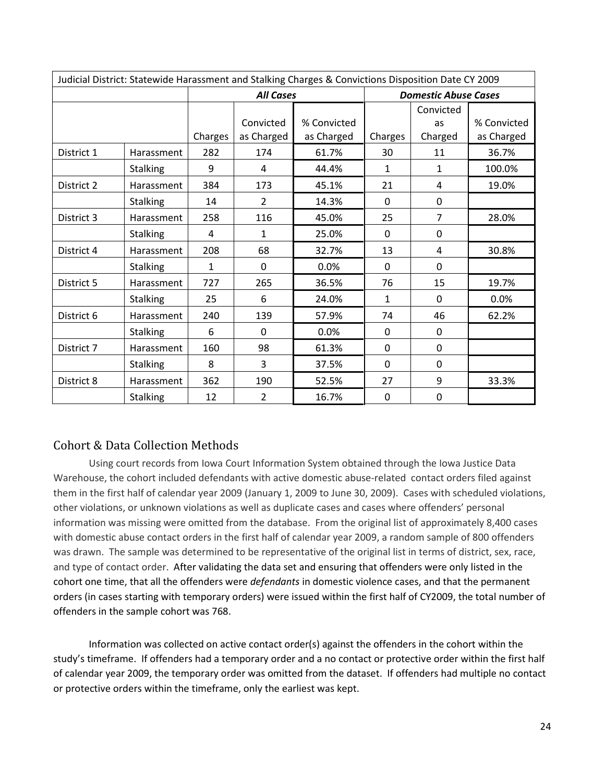| Judicial District: Statewide Harassment and Stalking Charges & Convictions Disposition Date CY 2009 |                 |              |                  |             |              |                             |             |  |  |
|-----------------------------------------------------------------------------------------------------|-----------------|--------------|------------------|-------------|--------------|-----------------------------|-------------|--|--|
|                                                                                                     |                 |              | <b>All Cases</b> |             |              | <b>Domestic Abuse Cases</b> |             |  |  |
|                                                                                                     |                 |              |                  |             |              | Convicted                   |             |  |  |
|                                                                                                     |                 |              | Convicted        | % Convicted |              | as                          | % Convicted |  |  |
|                                                                                                     |                 | Charges      | as Charged       | as Charged  | Charges      | Charged                     | as Charged  |  |  |
| District 1                                                                                          | Harassment      | 282          | 174              | 61.7%       | 30           | 11                          | 36.7%       |  |  |
|                                                                                                     | <b>Stalking</b> | 9            | 4                | 44.4%       | $\mathbf{1}$ | $\mathbf{1}$                | 100.0%      |  |  |
| District 2                                                                                          | Harassment      | 384          | 173              | 45.1%       | 21           | 4                           | 19.0%       |  |  |
|                                                                                                     | <b>Stalking</b> | 14           | $\overline{2}$   | 14.3%       | $\Omega$     | $\Omega$                    |             |  |  |
| District 3                                                                                          | Harassment      | 258          | 116              | 45.0%       | 25           | $\overline{7}$              | 28.0%       |  |  |
|                                                                                                     | <b>Stalking</b> | 4            | 1                | 25.0%       | $\Omega$     | $\mathbf 0$                 |             |  |  |
| District 4                                                                                          | Harassment      | 208          | 68               | 32.7%       | 13           | 4                           | 30.8%       |  |  |
|                                                                                                     | <b>Stalking</b> | $\mathbf{1}$ | $\mathbf 0$      | 0.0%        | 0            | $\mathbf 0$                 |             |  |  |
| District 5                                                                                          | Harassment      | 727          | 265              | 36.5%       | 76           | 15                          | 19.7%       |  |  |
|                                                                                                     | <b>Stalking</b> | 25           | 6                | 24.0%       | $\mathbf{1}$ | $\Omega$                    | 0.0%        |  |  |
| District 6                                                                                          | Harassment      | 240          | 139              | 57.9%       | 74           | 46                          | 62.2%       |  |  |
|                                                                                                     | <b>Stalking</b> | 6            | $\mathbf 0$      | 0.0%        | $\Omega$     | $\mathbf 0$                 |             |  |  |
| District 7                                                                                          | Harassment      | 160          | 98               | 61.3%       | $\Omega$     | $\Omega$                    |             |  |  |
|                                                                                                     | <b>Stalking</b> | 8            | 3                | 37.5%       | $\mathbf 0$  | $\mathbf 0$                 |             |  |  |
| District 8<br>Harassment                                                                            |                 | 362          | 190              | 52.5%       | 27           | 9                           | 33.3%       |  |  |
|                                                                                                     | <b>Stalking</b> | 12           | $\overline{2}$   | 16.7%       | 0            | 0                           |             |  |  |

## Cohort & Data Collection Methods

 Using court records from Iowa Court Information System obtained through the Iowa Justice Data Warehouse, the cohort included defendants with active domestic abuse-related contact orders filed against them in the first half of calendar year 2009 (January 1, 2009 to June 30, 2009). Cases with scheduled violations, other violations, or unknown violations as well as duplicate cases and cases where offenders' personal information was missing were omitted from the database. From the original list of approximately 8,400 cases with domestic abuse contact orders in the first half of calendar year 2009, a random sample of 800 offenders was drawn. The sample was determined to be representative of the original list in terms of district, sex, race, and type of contact order. After validating the data set and ensuring that offenders were only listed in the cohort one time, that all the offenders were defendants in domestic violence cases, and that the permanent orders (in cases starting with temporary orders) were issued within the first half of CY2009, the total number of offenders in the sample cohort was 768.

 Information was collected on active contact order(s) against the offenders in the cohort within the study's timeframe. If offenders had a temporary order and a no contact or protective order within the first half of calendar year 2009, the temporary order was omitted from the dataset. If offenders had multiple no contact or protective orders within the timeframe, only the earliest was kept.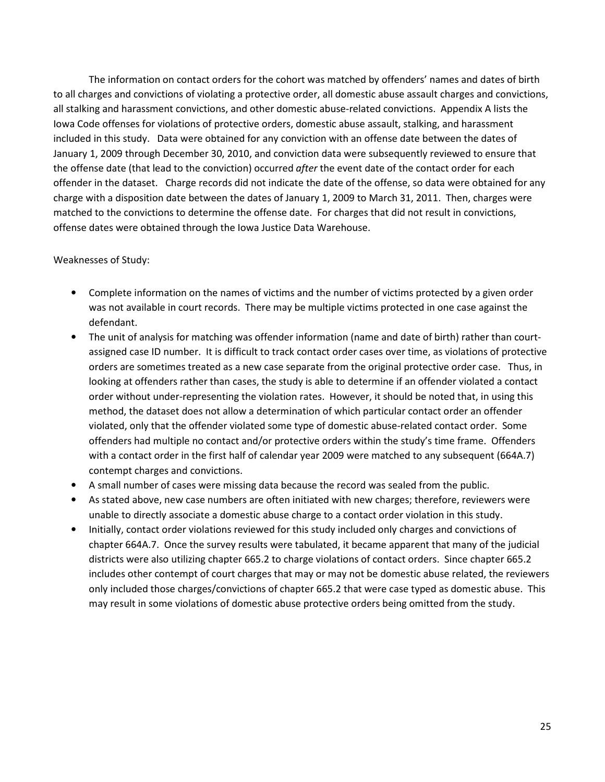The information on contact orders for the cohort was matched by offenders' names and dates of birth to all charges and convictions of violating a protective order, all domestic abuse assault charges and convictions, all stalking and harassment convictions, and other domestic abuse-related convictions. Appendix A lists the Iowa Code offenses for violations of protective orders, domestic abuse assault, stalking, and harassment included in this study. Data were obtained for any conviction with an offense date between the dates of January 1, 2009 through December 30, 2010, and conviction data were subsequently reviewed to ensure that the offense date (that lead to the conviction) occurred after the event date of the contact order for each offender in the dataset. Charge records did not indicate the date of the offense, so data were obtained for any charge with a disposition date between the dates of January 1, 2009 to March 31, 2011. Then, charges were matched to the convictions to determine the offense date. For charges that did not result in convictions, offense dates were obtained through the Iowa Justice Data Warehouse.

#### Weaknesses of Study:

- Complete information on the names of victims and the number of victims protected by a given order was not available in court records. There may be multiple victims protected in one case against the defendant.
- The unit of analysis for matching was offender information (name and date of birth) rather than courtassigned case ID number. It is difficult to track contact order cases over time, as violations of protective orders are sometimes treated as a new case separate from the original protective order case. Thus, in looking at offenders rather than cases, the study is able to determine if an offender violated a contact order without under-representing the violation rates. However, it should be noted that, in using this method, the dataset does not allow a determination of which particular contact order an offender violated, only that the offender violated some type of domestic abuse-related contact order. Some offenders had multiple no contact and/or protective orders within the study's time frame. Offenders with a contact order in the first half of calendar year 2009 were matched to any subsequent (664A.7) contempt charges and convictions.
- A small number of cases were missing data because the record was sealed from the public.
- As stated above, new case numbers are often initiated with new charges; therefore, reviewers were unable to directly associate a domestic abuse charge to a contact order violation in this study.
- Initially, contact order violations reviewed for this study included only charges and convictions of chapter 664A.7. Once the survey results were tabulated, it became apparent that many of the judicial districts were also utilizing chapter 665.2 to charge violations of contact orders. Since chapter 665.2 includes other contempt of court charges that may or may not be domestic abuse related, the reviewers only included those charges/convictions of chapter 665.2 that were case typed as domestic abuse. This may result in some violations of domestic abuse protective orders being omitted from the study.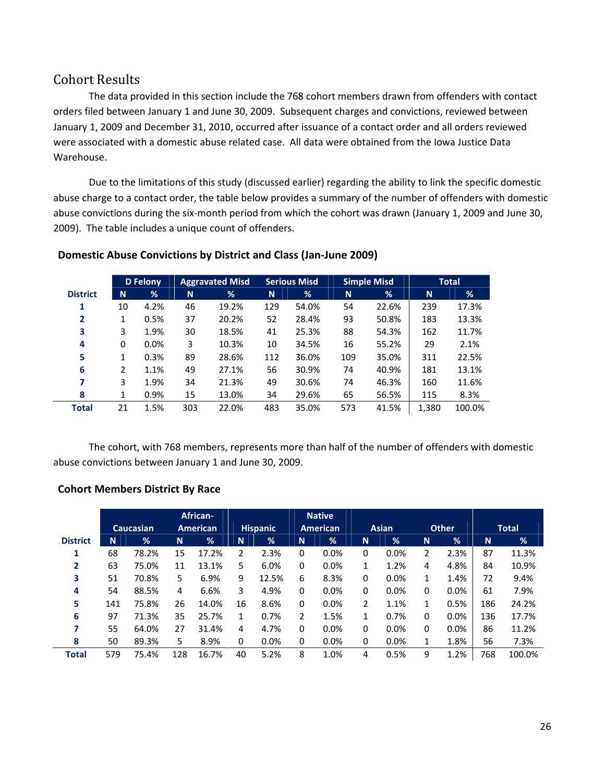## Cohort Results

The data provided in this section include the 768 cohort members drawn from offenders with contact orders filed between January 1 and June 30, 2009. Subsequent charges and convictions, reviewed between January 1, 2009 and December 31, 2010, occurred after issuance of a contact order and all orders reviewed were associated with a domestic abuse related case. All data were obtained from the Iowa Justice Data Warehouse.

Due to the limitations of this study (discussed earlier) regarding the ability to link the specific domestic abuse charge to a contact order, the table below provides a summary of the number of offenders with domestic abuse convictions during the six-month period from which the cohort was drawn (January 1, 2009 and June 30, 2009). The table includes a unique count of offenders.

|                 |              | <b>D</b> Felony |     | <b>Aggravated Misd</b> |          | <b>Serious Misd</b> |     | <b>Simple Misd</b> | <b>Total</b> |        |
|-----------------|--------------|-----------------|-----|------------------------|----------|---------------------|-----|--------------------|--------------|--------|
| <b>District</b> | N            | %               | N   | %                      | <b>N</b> | %                   | N   | %                  | N            | %      |
| 1               | 10           | 4.2%            | 46  | 19.2%                  | 129      | 54.0%               | 54  | 22.6%              | 239          | 17.3%  |
| $\mathbf{2}$    | $\mathbf{1}$ | 0.5%            | 37  | 20.2%                  | 52       | 28.4%               | 93  | 50.8%              | 183          | 13.3%  |
| 3               | 3            | 1.9%            | 30  | 18.5%                  | 41       | 25.3%               | 88  | 54.3%              | 162          | 11.7%  |
| 4               | 0            | 0.0%            | 3   | 10.3%                  | 10       | 34.5%               | 16  | 55.2%              | 29           | 2.1%   |
| 5               | 1            | 0.3%            | 89  | 28.6%                  | 112      | 36.0%               | 109 | 35.0%              | 311          | 22.5%  |
| 6               | 2            | 1.1%            | 49  | 27.1%                  | 56       | 30.9%               | 74  | 40.9%              | 181          | 13.1%  |
| 7               | 3            | 1.9%            | 34  | 21.3%                  | 49       | 30.6%               | 74  | 46.3%              | 160          | 11.6%  |
| 8               | 1            | 0.9%            | 15  | 13.0%                  | 34       | 29.6%               | 65  | 56.5%              | 115          | 8.3%   |
| <b>Total</b>    | 21           | 1.5%            | 303 | 22.0%                  | 483      | 35.0%               | 573 | 41.5%              | 1,380        | 100.0% |

## Domestic Abuse Convictions by District and Class (Jan-June 2009)

The cohort, with 768 members, represents more than half of the number of offenders with domestic abuse convictions between January 1 and June 30, 2009.

## Cohort Members District By Race

|                 |     |                  |     | African-        |          |                 |                | <b>Native</b>   |   |              |                |              |     |              |
|-----------------|-----|------------------|-----|-----------------|----------|-----------------|----------------|-----------------|---|--------------|----------------|--------------|-----|--------------|
|                 |     | <b>Caucasian</b> |     | <b>American</b> |          | <b>Hispanic</b> |                | <b>American</b> |   | <b>Asian</b> |                | <b>Other</b> |     | <b>Total</b> |
| <b>District</b> | N   | %                | N   | $\frac{9}{6}$   | <b>N</b> | $\frac{9}{6}$   | <b>N</b>       | %               | N | %            | N.             | %            | N   | %            |
| 1               | 68  | 78.2%            | 15  | 17.2%           | 2        | 2.3%            | 0              | 0.0%            | 0 | 0.0%         | $\overline{2}$ | 2.3%         | 87  | 11.3%        |
| $\overline{2}$  | 63  | 75.0%            | 11  | 13.1%           | 5        | 6.0%            | 0              | 0.0%            | 1 | 1.2%         | 4              | 4.8%         | 84  | 10.9%        |
| 3               | 51  | 70.8%            | 5.  | 6.9%            | 9        | 12.5%           | 6              | 8.3%            | 0 | 0.0%         | $\mathbf{1}$   | 1.4%         | 72  | 9.4%         |
| 4               | 54  | 88.5%            | 4   | 6.6%            | 3        | 4.9%            | 0              | 0.0%            | 0 | 0.0%         | $\Omega$       | 0.0%         | 61  | 7.9%         |
| 5               | 141 | 75.8%            | 26  | 14.0%           | 16       | 8.6%            | 0              | 0.0%            | 2 | 1.1%         | $\mathbf{1}$   | 0.5%         | 186 | 24.2%        |
| 6               | 97  | 71.3%            | 35  | 25.7%           | 1        | 0.7%            | $\overline{2}$ | 1.5%            | 1 | 0.7%         | $\Omega$       | 0.0%         | 136 | 17.7%        |
|                 | 55  | 64.0%            | 27  | 31.4%           | 4        | 4.7%            | 0              | 0.0%            | 0 | 0.0%         | $\Omega$       | 0.0%         | 86  | 11.2%        |
| 8               | 50  | 89.3%            | 5   | 8.9%            | 0        | 0.0%            | 0              | 0.0%            | 0 | 0.0%         | 1              | 1.8%         | 56  | 7.3%         |
| <b>Total</b>    | 579 | 75.4%            | 128 | 16.7%           | 40       | 5.2%            | 8              | 1.0%            | 4 | 0.5%         | 9              | 1.2%         | 768 | 100.0%       |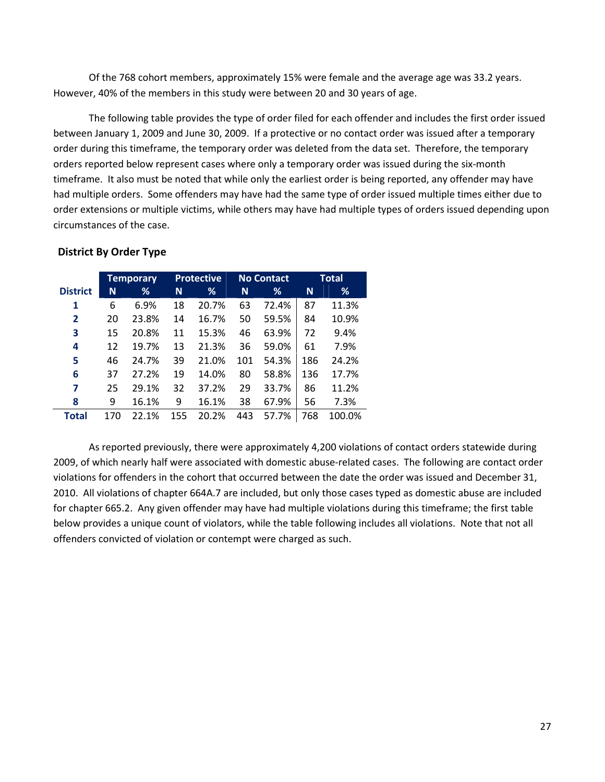Of the 768 cohort members, approximately 15% were female and the average age was 33.2 years. However, 40% of the members in this study were between 20 and 30 years of age.

The following table provides the type of order filed for each offender and includes the first order issued between January 1, 2009 and June 30, 2009. If a protective or no contact order was issued after a temporary order during this timeframe, the temporary order was deleted from the data set. Therefore, the temporary orders reported below represent cases where only a temporary order was issued during the six-month timeframe. It also must be noted that while only the earliest order is being reported, any offender may have had multiple orders. Some offenders may have had the same type of order issued multiple times either due to order extensions or multiple victims, while others may have had multiple types of orders issued depending upon circumstances of the case.

|                 |     | <b>Temporary</b> |     | <b>Protective</b> |     | <b>No Contact</b> | <b>Total</b> |        |
|-----------------|-----|------------------|-----|-------------------|-----|-------------------|--------------|--------|
| <b>District</b> | N   | ℅                | N   | ℅                 | N   | ℅                 | N            | ℅      |
| 1               | 6   | 6.9%             | 18  | 20.7%             | 63  | 72.4%             | 87           | 11.3%  |
| $\overline{2}$  | 20  | 23.8%            | 14  | 16.7%             | 50  | 59.5%             | 84           | 10.9%  |
| 3               | 15  | 20.8%            | 11  | 15.3%             | 46  | 63.9%             | 72           | 9.4%   |
| 4               | 12  | 19.7%            | 13  | 21.3%             | 36  | 59.0%             | 61           | 7.9%   |
| 5               | 46  | 24.7%            | 39  | 21.0%             | 101 | 54.3%             | 186          | 24.2%  |
| 6               | 37  | 27.2%            | 19  | 14.0%             | 80  | 58.8%             | 136          | 17.7%  |
| 7               | 25  | 29.1%            | 32  | 37.2%             | 29  | 33.7%             | 86           | 11.2%  |
| 8               | 9   | 16.1%            | 9   | 16.1%             | 38  | 67.9%             | 56           | 7.3%   |
| Total           | 170 | 22.1%            | 155 | 20.2%             | 443 | 57.7%             | 768          | 100.0% |

#### District By Order Type

As reported previously, there were approximately 4,200 violations of contact orders statewide during 2009, of which nearly half were associated with domestic abuse-related cases. The following are contact order violations for offenders in the cohort that occurred between the date the order was issued and December 31, 2010. All violations of chapter 664A.7 are included, but only those cases typed as domestic abuse are included for chapter 665.2. Any given offender may have had multiple violations during this timeframe; the first table below provides a unique count of violators, while the table following includes all violations. Note that not all offenders convicted of violation or contempt were charged as such.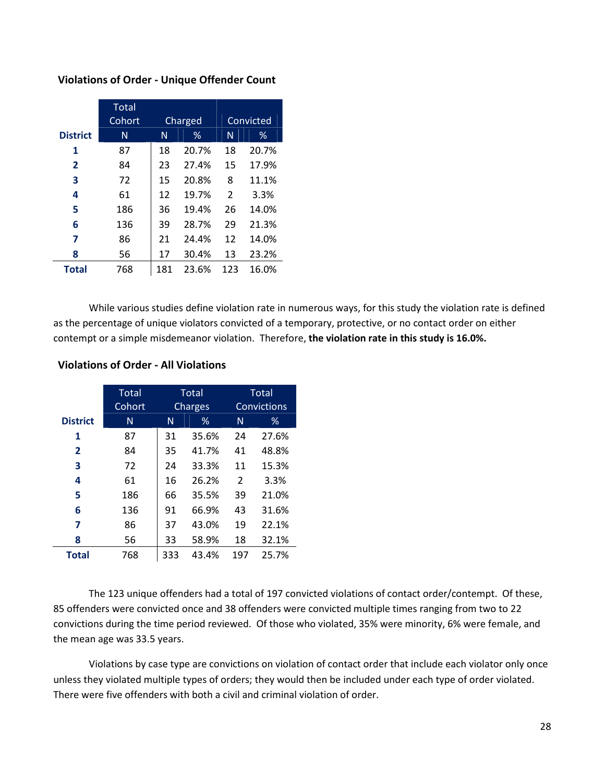|                 | Total<br>Cohort |     | Charged |     | Convicted |
|-----------------|-----------------|-----|---------|-----|-----------|
| <b>District</b> | N               | N   | %       | N   | %         |
| 1               | 87              | 18  | 20.7%   | 18  | 20.7%     |
| $\mathbf{2}$    | 84              | 23  | 27.4%   | 15  | 17.9%     |
| 3               | 72              | 15  | 20.8%   | 8   | 11.1%     |
| 4               | 61              | 12  | 19.7%   | 2   | 3.3%      |
| 5               | 186             | 36  | 19.4%   | 26  | 14.0%     |
| 6               | 136             | 39  | 28.7%   | 29  | 21.3%     |
| 7               | 86              | 21  | 24.4%   | 12  | 14.0%     |
| 8               | 56              | 17  | 30.4%   | 13  | 23.2%     |
| <b>Total</b>    | 768             | 181 | 23.6%   | 123 | 16.0%     |

#### Violations of Order - Unique Offender Count

While various studies define violation rate in numerous ways, for this study the violation rate is defined as the percentage of unique violators convicted of a temporary, protective, or no contact order on either contempt or a simple misdemeanor violation. Therefore, the violation rate in this study is 16.0%.

|                 | <b>Total</b><br>Cohort |     | <b>Total</b><br>Charges |     | Total<br>Convictions |
|-----------------|------------------------|-----|-------------------------|-----|----------------------|
|                 |                        |     |                         |     |                      |
| <b>District</b> | N                      | N   | ℅                       | N   | ℅                    |
| 1               | 87                     | 31  | 35.6%                   | 24  | 27.6%                |
| $\mathbf{2}$    | 84                     | 35  | 41.7%                   | 41  | 48.8%                |
| 3               | 72                     | 24  | 33.3%                   | 11  | 15.3%                |
| 4               | 61                     | 16  | 26.2%                   | 2   | 3.3%                 |
| 5               | 186                    | 66  | 35.5%                   | 39  | 21.0%                |
| 6               | 136                    | 91  | 66.9%                   | 43  | 31.6%                |
| 7               | 86                     | 37  | 43.0%                   | 19  | 22.1%                |
| 8               | 56                     | 33  | 58.9%                   | 18  | 32.1%                |
| <b>Total</b>    | 768                    | 333 | 43.4%                   | 197 | 25.7%                |

#### Violations of Order - All Violations

The 123 unique offenders had a total of 197 convicted violations of contact order/contempt. Of these, 85 offenders were convicted once and 38 offenders were convicted multiple times ranging from two to 22 convictions during the time period reviewed. Of those who violated, 35% were minority, 6% were female, and the mean age was 33.5 years.

Violations by case type are convictions on violation of contact order that include each violator only once unless they violated multiple types of orders; they would then be included under each type of order violated. There were five offenders with both a civil and criminal violation of order.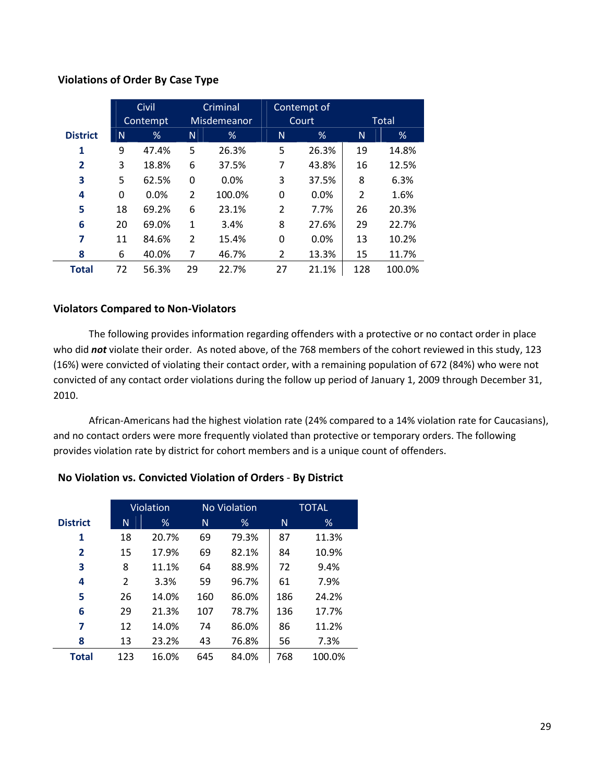#### Violations of Order By Case Type

|                 |              | Civil    | Criminal       |             | Contempt of |       |     |        |
|-----------------|--------------|----------|----------------|-------------|-------------|-------|-----|--------|
|                 |              | Contempt |                | Misdemeanor |             | Court |     | Total  |
| <b>District</b> | N            | %        | N              | %           | N           | %     | N   | %      |
| 1               | 9            | 47.4%    | 5              | 26.3%       | 5           | 26.3% | 19  | 14.8%  |
| $\overline{2}$  | 3            | 18.8%    | 6              | 37.5%       | 7           | 43.8% | 16  | 12.5%  |
| 3               | 5            | 62.5%    | 0              | 0.0%        | 3           | 37.5% | 8   | 6.3%   |
| 4               | $\mathbf{0}$ | 0.0%     | $\overline{2}$ | 100.0%      | 0           | 0.0%  | 2   | 1.6%   |
| 5               | 18           | 69.2%    | 6              | 23.1%       | 2           | 7.7%  | 26  | 20.3%  |
| 6               | 20           | 69.0%    | 1              | 3.4%        | 8           | 27.6% | 29  | 22.7%  |
| 7               | 11           | 84.6%    | $\overline{2}$ | 15.4%       | 0           | 0.0%  | 13  | 10.2%  |
| 8               | 6            | 40.0%    | 7              | 46.7%       | 2           | 13.3% | 15  | 11.7%  |
| <b>Total</b>    | 72           | 56.3%    | 29             | 22.7%       | 27          | 21.1% | 128 | 100.0% |

#### Violators Compared to Non-Violators

The following provides information regarding offenders with a protective or no contact order in place who did not violate their order. As noted above, of the 768 members of the cohort reviewed in this study, 123 (16%) were convicted of violating their contact order, with a remaining population of 672 (84%) who were not convicted of any contact order violations during the follow up period of January 1, 2009 through December 31, 2010.

African-Americans had the highest violation rate (24% compared to a 14% violation rate for Caucasians), and no contact orders were more frequently violated than protective or temporary orders. The following provides violation rate by district for cohort members and is a unique count of offenders.

|                 | Violation |       |     | <b>No Violation</b> | <b>TOTAL</b> |        |  |
|-----------------|-----------|-------|-----|---------------------|--------------|--------|--|
| <b>District</b> | N         | %     | N   | %                   | N            | %      |  |
| 1               | 18        | 20.7% | 69  | 79.3%               | 87           | 11.3%  |  |
| $\mathbf{2}$    | 15        | 17.9% | 69  | 82.1%               | 84           | 10.9%  |  |
| 3               | 8         | 11.1% | 64  | 88.9%               | 72           | 9.4%   |  |
| 4               | 2         | 3.3%  | 59  | 96.7%               | 61           | 7.9%   |  |
| 5               | 26        | 14.0% | 160 | 86.0%               | 186          | 24.2%  |  |
| 6               | 29        | 21.3% | 107 | 78.7%               | 136          | 17.7%  |  |
| 7               | 12        | 14.0% | 74  | 86.0%               | 86           | 11.2%  |  |
| 8               | 13        | 23.2% | 43  | 76.8%               | 56           | 7.3%   |  |
| <b>Total</b>    | 123       | 16.0% | 645 | 84.0%               | 768          | 100.0% |  |

#### No Violation vs. Convicted Violation of Orders - By District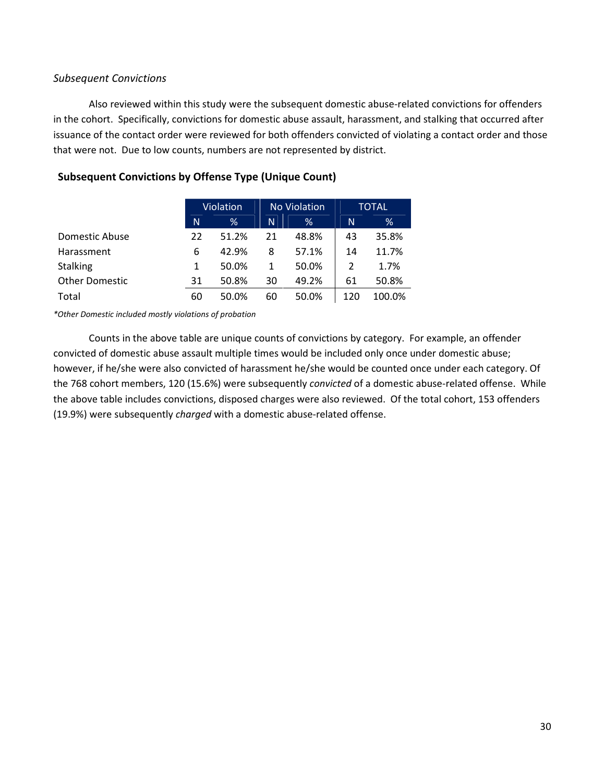## Subsequent Convictions

Also reviewed within this study were the subsequent domestic abuse-related convictions for offenders in the cohort. Specifically, convictions for domestic abuse assault, harassment, and stalking that occurred after issuance of the contact order were reviewed for both offenders convicted of violating a contact order and those that were not. Due to low counts, numbers are not represented by district.

|                       |    | Violation |    | <b>No Violation</b> | <b>TOTAL</b> |        |
|-----------------------|----|-----------|----|---------------------|--------------|--------|
|                       | N  | %         | N. | %                   | N            | %      |
| Domestic Abuse        | 22 | 51.2%     | 21 | 48.8%               | 43           | 35.8%  |
| Harassment            | 6  | 42.9%     | 8  | 57.1%               | 14           | 11.7%  |
| <b>Stalking</b>       | 1  | 50.0%     | 1  | 50.0%               | 2            | 1.7%   |
| <b>Other Domestic</b> | 31 | 50.8%     | 30 | 49.2%               | 61           | 50.8%  |
| Total                 | 60 | 50.0%     | 60 | 50.0%               | 120          | 100.0% |

## Subsequent Convictions by Offense Type (Unique Count)

\*Other Domestic included mostly violations of probation

Counts in the above table are unique counts of convictions by category. For example, an offender convicted of domestic abuse assault multiple times would be included only once under domestic abuse; however, if he/she were also convicted of harassment he/she would be counted once under each category. Of the 768 cohort members, 120 (15.6%) were subsequently convicted of a domestic abuse-related offense. While the above table includes convictions, disposed charges were also reviewed. Of the total cohort, 153 offenders (19.9%) were subsequently charged with a domestic abuse-related offense.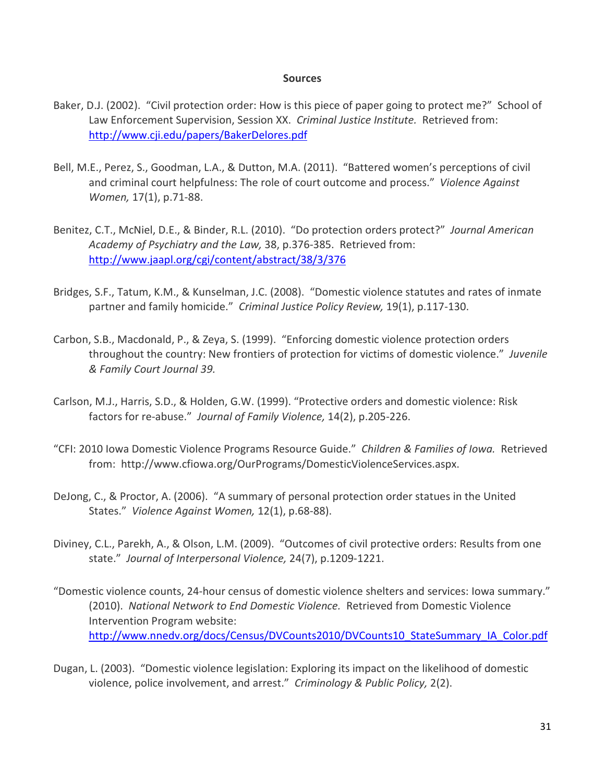#### **Sources**

- Baker, D.J. (2002). "Civil protection order: How is this piece of paper going to protect me?" School of Law Enforcement Supervision, Session XX. Criminal Justice Institute. Retrieved from: http://www.cji.edu/papers/BakerDelores.pdf
- Bell, M.E., Perez, S., Goodman, L.A., & Dutton, M.A. (2011). "Battered women's perceptions of civil and criminal court helpfulness: The role of court outcome and process." Violence Against Women, 17(1), p.71-88.
- Benitez, C.T., McNiel, D.E., & Binder, R.L. (2010). "Do protection orders protect?" Journal American Academy of Psychiatry and the Law, 38, p.376-385. Retrieved from: http://www.jaapl.org/cgi/content/abstract/38/3/376
- Bridges, S.F., Tatum, K.M., & Kunselman, J.C. (2008). "Domestic violence statutes and rates of inmate partner and family homicide." Criminal Justice Policy Review, 19(1), p.117-130.
- Carbon, S.B., Macdonald, P., & Zeya, S. (1999). "Enforcing domestic violence protection orders throughout the country: New frontiers of protection for victims of domestic violence." Juvenile & Family Court Journal 39.
- Carlson, M.J., Harris, S.D., & Holden, G.W. (1999). "Protective orders and domestic violence: Risk factors for re-abuse." Journal of Family Violence, 14(2), p.205-226.
- "CFI: 2010 Iowa Domestic Violence Programs Resource Guide." Children & Families of Iowa. Retrieved from: http://www.cfiowa.org/OurPrograms/DomesticViolenceServices.aspx.
- DeJong, C., & Proctor, A. (2006). "A summary of personal protection order statues in the United States." Violence Against Women, 12(1), p.68-88).
- Diviney, C.L., Parekh, A., & Olson, L.M. (2009). "Outcomes of civil protective orders: Results from one state." Journal of Interpersonal Violence, 24(7), p.1209-1221.
- "Domestic violence counts, 24-hour census of domestic violence shelters and services: Iowa summary." (2010). National Network to End Domestic Violence. Retrieved from Domestic Violence Intervention Program website: http://www.nnedv.org/docs/Census/DVCounts2010/DVCounts10 StateSummary IA Color.pdf
- Dugan, L. (2003). "Domestic violence legislation: Exploring its impact on the likelihood of domestic violence, police involvement, and arrest." Criminology & Public Policy, 2(2).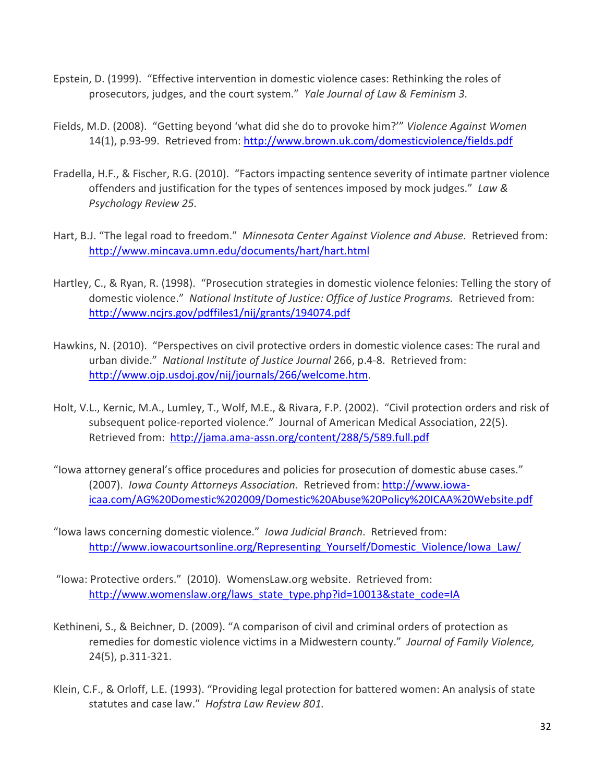- Epstein, D. (1999). "Effective intervention in domestic violence cases: Rethinking the roles of prosecutors, judges, and the court system." Yale Journal of Law & Feminism 3.
- Fields, M.D. (2008). "Getting beyond 'what did she do to provoke him?'" Violence Against Women 14(1), p.93-99. Retrieved from: http://www.brown.uk.com/domesticviolence/fields.pdf
- Fradella, H.F., & Fischer, R.G. (2010). "Factors impacting sentence severity of intimate partner violence offenders and justification for the types of sentences imposed by mock judges." Law & Psychology Review 25.
- Hart, B.J. "The legal road to freedom." Minnesota Center Against Violence and Abuse. Retrieved from: http://www.mincava.umn.edu/documents/hart/hart.html
- Hartley, C., & Ryan, R. (1998). "Prosecution strategies in domestic violence felonies: Telling the story of domestic violence." National Institute of Justice: Office of Justice Programs. Retrieved from: http://www.ncjrs.gov/pdffiles1/nij/grants/194074.pdf
- Hawkins, N. (2010). "Perspectives on civil protective orders in domestic violence cases: The rural and urban divide." National Institute of Justice Journal 266, p.4-8. Retrieved from: http://www.ojp.usdoj.gov/nij/journals/266/welcome.htm.
- Holt, V.L., Kernic, M.A., Lumley, T., Wolf, M.E., & Rivara, F.P. (2002). "Civil protection orders and risk of subsequent police-reported violence." Journal of American Medical Association, 22(5). Retrieved from: http://jama.ama-assn.org/content/288/5/589.full.pdf
- "Iowa attorney general's office procedures and policies for prosecution of domestic abuse cases." (2007). Iowa County Attorneys Association. Retrieved from: http://www.iowaicaa.com/AG%20Domestic%202009/Domestic%20Abuse%20Policy%20ICAA%20Website.pdf
- "Iowa laws concerning domestic violence." Iowa Judicial Branch. Retrieved from: http://www.iowacourtsonline.org/Representing Yourself/Domestic Violence/Iowa Law/
- "Iowa: Protective orders." (2010). WomensLaw.org website. Retrieved from: http://www.womenslaw.org/laws\_state\_type.php?id=10013&state\_code=IA
- Kethineni, S., & Beichner, D. (2009). "A comparison of civil and criminal orders of protection as remedies for domestic violence victims in a Midwestern county." Journal of Family Violence, 24(5), p.311-321.
- Klein, C.F., & Orloff, L.E. (1993). "Providing legal protection for battered women: An analysis of state statutes and case law." Hofstra Law Review 801.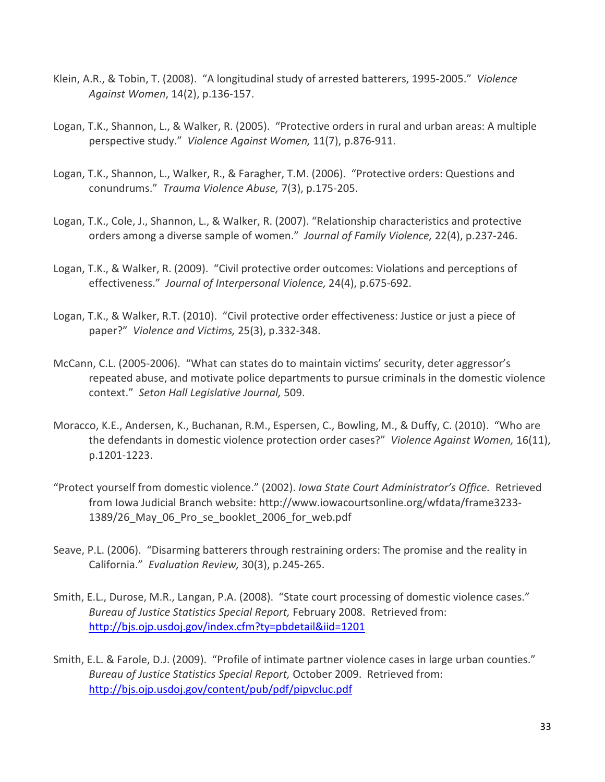- Klein, A.R., & Tobin, T. (2008). "A longitudinal study of arrested batterers, 1995-2005." Violence Against Women, 14(2), p.136-157.
- Logan, T.K., Shannon, L., & Walker, R. (2005). "Protective orders in rural and urban areas: A multiple perspective study." Violence Against Women, 11(7), p.876-911.
- Logan, T.K., Shannon, L., Walker, R., & Faragher, T.M. (2006). "Protective orders: Questions and conundrums." Trauma Violence Abuse, 7(3), p.175-205.
- Logan, T.K., Cole, J., Shannon, L., & Walker, R. (2007). "Relationship characteristics and protective orders among a diverse sample of women." Journal of Family Violence, 22(4), p.237-246.
- Logan, T.K., & Walker, R. (2009). "Civil protective order outcomes: Violations and perceptions of effectiveness." Journal of Interpersonal Violence, 24(4), p.675-692.
- Logan, T.K., & Walker, R.T. (2010). "Civil protective order effectiveness: Justice or just a piece of paper?" Violence and Victims, 25(3), p.332-348.
- McCann, C.L. (2005-2006). "What can states do to maintain victims' security, deter aggressor's repeated abuse, and motivate police departments to pursue criminals in the domestic violence context." Seton Hall Legislative Journal, 509.
- Moracco, K.E., Andersen, K., Buchanan, R.M., Espersen, C., Bowling, M., & Duffy, C. (2010). "Who are the defendants in domestic violence protection order cases?" Violence Against Women, 16(11), p.1201-1223.
- "Protect yourself from domestic violence." (2002). Iowa State Court Administrator's Office. Retrieved from Iowa Judicial Branch website: http://www.iowacourtsonline.org/wfdata/frame3233- 1389/26\_May\_06\_Pro\_se\_booklet\_2006\_for\_web.pdf
- Seave, P.L. (2006). "Disarming batterers through restraining orders: The promise and the reality in California." Evaluation Review, 30(3), p.245-265.
- Smith, E.L., Durose, M.R., Langan, P.A. (2008). "State court processing of domestic violence cases." Bureau of Justice Statistics Special Report, February 2008. Retrieved from: http://bjs.ojp.usdoj.gov/index.cfm?ty=pbdetail&iid=1201
- Smith, E.L. & Farole, D.J. (2009). "Profile of intimate partner violence cases in large urban counties." Bureau of Justice Statistics Special Report, October 2009. Retrieved from: http://bjs.ojp.usdoj.gov/content/pub/pdf/pipvcluc.pdf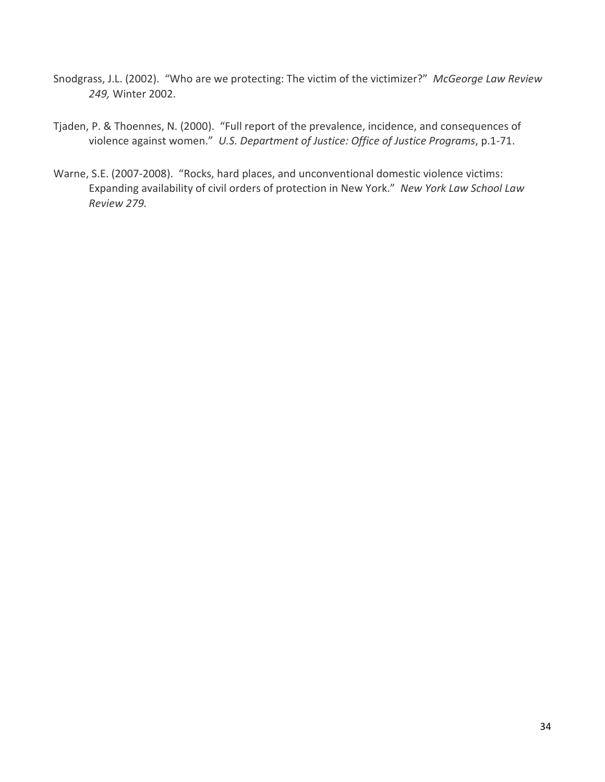- Snodgrass, J.L. (2002). "Who are we protecting: The victim of the victimizer?" McGeorge Law Review 249, Winter 2002.
- Tjaden, P. & Thoennes, N. (2000). "Full report of the prevalence, incidence, and consequences of violence against women." U.S. Department of Justice: Office of Justice Programs, p.1-71.
- Warne, S.E. (2007-2008). "Rocks, hard places, and unconventional domestic violence victims: Expanding availability of civil orders of protection in New York." New York Law School Law Review 279.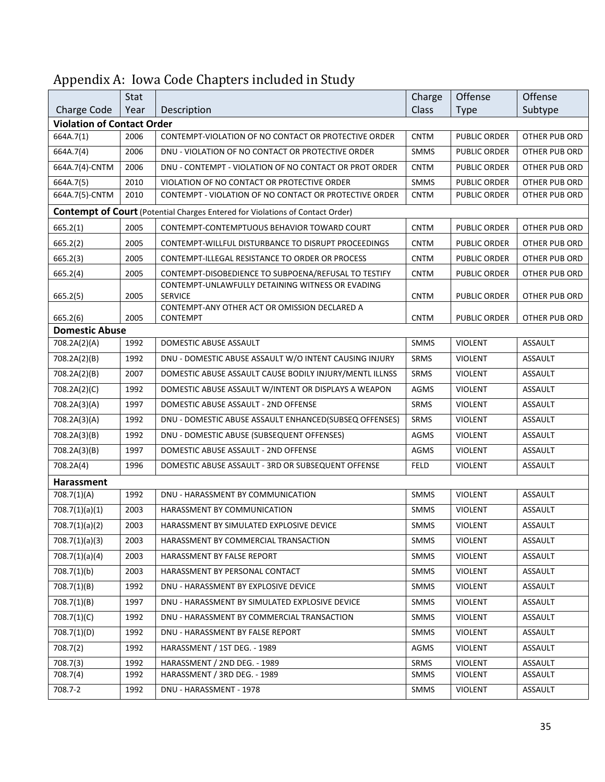|                                   | Stat |                                                                                      | Charge      | Offense             | Offense        |
|-----------------------------------|------|--------------------------------------------------------------------------------------|-------------|---------------------|----------------|
| Charge Code                       | Year | Description                                                                          | Class       | <b>Type</b>         | Subtype        |
| <b>Violation of Contact Order</b> |      |                                                                                      |             |                     |                |
| 664A.7(1)                         | 2006 | CONTEMPT-VIOLATION OF NO CONTACT OR PROTECTIVE ORDER                                 | <b>CNTM</b> | <b>PUBLIC ORDER</b> | OTHER PUB ORD  |
| 664A.7(4)                         | 2006 | DNU - VIOLATION OF NO CONTACT OR PROTECTIVE ORDER                                    | <b>SMMS</b> | PUBLIC ORDER        | OTHER PUB ORD  |
| 664A.7(4)-CNTM                    | 2006 | DNU - CONTEMPT - VIOLATION OF NO CONTACT OR PROT ORDER                               | <b>CNTM</b> | PUBLIC ORDER        | OTHER PUB ORD  |
| 664A.7(5)                         | 2010 | VIOLATION OF NO CONTACT OR PROTECTIVE ORDER                                          | <b>SMMS</b> | <b>PUBLIC ORDER</b> | OTHER PUB ORD  |
| 664A.7(5)-CNTM                    | 2010 | CONTEMPT - VIOLATION OF NO CONTACT OR PROTECTIVE ORDER                               | <b>CNTM</b> | PUBLIC ORDER        | OTHER PUB ORD  |
|                                   |      | <b>Contempt of Court</b> (Potential Charges Entered for Violations of Contact Order) |             |                     |                |
| 665.2(1)                          | 2005 | CONTEMPT-CONTEMPTUOUS BEHAVIOR TOWARD COURT                                          | <b>CNTM</b> | <b>PUBLIC ORDER</b> | OTHER PUB ORD  |
| 665.2(2)                          | 2005 | CONTEMPT-WILLFUL DISTURBANCE TO DISRUPT PROCEEDINGS                                  | <b>CNTM</b> | <b>PUBLIC ORDER</b> | OTHER PUB ORD  |
| 665.2(3)                          | 2005 | CONTEMPT-ILLEGAL RESISTANCE TO ORDER OR PROCESS                                      | <b>CNTM</b> | <b>PUBLIC ORDER</b> | OTHER PUB ORD  |
| 665.2(4)                          | 2005 | CONTEMPT-DISOBEDIENCE TO SUBPOENA/REFUSAL TO TESTIFY                                 | <b>CNTM</b> | PUBLIC ORDER        | OTHER PUB ORD  |
|                                   |      | CONTEMPT-UNLAWFULLY DETAINING WITNESS OR EVADING                                     |             |                     |                |
| 665.2(5)                          | 2005 | <b>SERVICE</b><br>CONTEMPT-ANY OTHER ACT OR OMISSION DECLARED A                      | <b>CNTM</b> | <b>PUBLIC ORDER</b> | OTHER PUB ORD  |
| 665.2(6)                          | 2005 | <b>CONTEMPT</b>                                                                      | <b>CNTM</b> | <b>PUBLIC ORDER</b> | OTHER PUB ORD  |
| <b>Domestic Abuse</b>             |      |                                                                                      |             |                     |                |
| 708.2A(2)(A)                      | 1992 | <b>DOMESTIC ABUSE ASSAULT</b>                                                        | <b>SMMS</b> | <b>VIOLENT</b>      | <b>ASSAULT</b> |
| 708.2A(2)(B)                      | 1992 | DNU - DOMESTIC ABUSE ASSAULT W/O INTENT CAUSING INJURY                               | <b>SRMS</b> | <b>VIOLENT</b>      | ASSAULT        |
| 708.2A(2)(B)                      | 2007 | DOMESTIC ABUSE ASSAULT CAUSE BODILY INJURY/MENTL ILLNSS                              | <b>SRMS</b> | <b>VIOLENT</b>      | <b>ASSAULT</b> |
| 708.2A(2)(C)                      | 1992 | DOMESTIC ABUSE ASSAULT W/INTENT OR DISPLAYS A WEAPON                                 | AGMS        | <b>VIOLENT</b>      | <b>ASSAULT</b> |
| 708.2A(3)(A)                      | 1997 | DOMESTIC ABUSE ASSAULT - 2ND OFFENSE                                                 | SRMS        | <b>VIOLENT</b>      | ASSAULT        |
| 708.2A(3)(A)                      | 1992 | DNU - DOMESTIC ABUSE ASSAULT ENHANCED(SUBSEQ OFFENSES)                               | SRMS        | <b>VIOLENT</b>      | <b>ASSAULT</b> |
| 708.2A(3)(B)                      | 1992 | DNU - DOMESTIC ABUSE (SUBSEQUENT OFFENSES)                                           | AGMS        | <b>VIOLENT</b>      | <b>ASSAULT</b> |
| 708.2A(3)(B)                      | 1997 | DOMESTIC ABUSE ASSAULT - 2ND OFFENSE                                                 | AGMS        | <b>VIOLENT</b>      | <b>ASSAULT</b> |
| 708.2A(4)                         | 1996 | DOMESTIC ABUSE ASSAULT - 3RD OR SUBSEQUENT OFFENSE                                   | <b>FELD</b> | <b>VIOLENT</b>      | <b>ASSAULT</b> |
| Harassment                        |      |                                                                                      |             |                     |                |
| 708.7(1)(A)                       | 1992 | DNU - HARASSMENT BY COMMUNICATION                                                    | <b>SMMS</b> | <b>VIOLENT</b>      | <b>ASSAULT</b> |
| 708.7(1)(a)(1)                    | 2003 | HARASSMENT BY COMMUNICATION                                                          | <b>SMMS</b> | <b>VIOLENT</b>      | ASSAULT        |
| 708.7(1)(a)(2)                    | 2003 | HARASSMENT BY SIMULATED EXPLOSIVE DEVICE                                             | <b>SMMS</b> | VIOLENT             | ASSAULT        |
| 708.7(1)(a)(3)                    | 2003 | HARASSMENT BY COMMERCIAL TRANSACTION                                                 | <b>SMMS</b> | <b>VIOLENT</b>      | ASSAULT        |
| 708.7(1)(a)(4)                    | 2003 | HARASSMENT BY FALSE REPORT                                                           | <b>SMMS</b> | <b>VIOLENT</b>      | <b>ASSAULT</b> |
| 708.7(1)(b)                       | 2003 | HARASSMENT BY PERSONAL CONTACT                                                       | <b>SMMS</b> | <b>VIOLENT</b>      | ASSAULT        |
| 708.7(1)(B)                       | 1992 | DNU - HARASSMENT BY EXPLOSIVE DEVICE                                                 | SMMS        | <b>VIOLENT</b>      | ASSAULT        |
| 708.7(1)(B)                       | 1997 | DNU - HARASSMENT BY SIMULATED EXPLOSIVE DEVICE                                       | SMMS        | <b>VIOLENT</b>      | ASSAULT        |
| 708.7(1)(C)                       | 1992 | DNU - HARASSMENT BY COMMERCIAL TRANSACTION                                           | <b>SMMS</b> | <b>VIOLENT</b>      | ASSAULT        |
| 708.7(1)(D)                       | 1992 | DNU - HARASSMENT BY FALSE REPORT                                                     | SMMS        | <b>VIOLENT</b>      | ASSAULT        |
| 708.7(2)                          | 1992 | HARASSMENT / 1ST DEG. - 1989                                                         | AGMS        | <b>VIOLENT</b>      | ASSAULT        |
| 708.7(3)                          | 1992 | HARASSMENT / 2ND DEG. - 1989                                                         | SRMS        | <b>VIOLENT</b>      | ASSAULT        |
| 708.7(4)                          | 1992 | HARASSMENT / 3RD DEG. - 1989                                                         | SMMS        | <b>VIOLENT</b>      | ASSAULT        |
| 708.7-2                           | 1992 | DNU - HARASSMENT - 1978                                                              | SMMS        | <b>VIOLENT</b>      | ASSAULT        |

# Appendix A: Iowa Code Chapters included in Study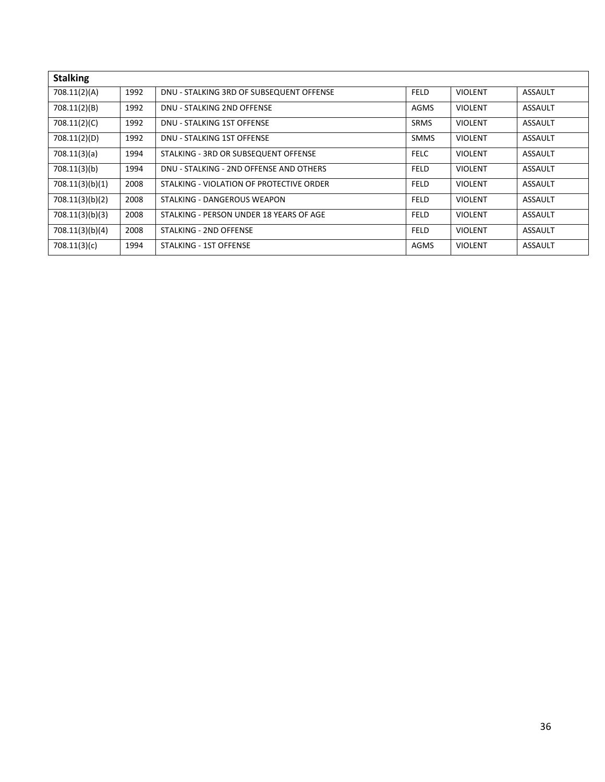| <b>Stalking</b> |      |                                          |             |                |                |
|-----------------|------|------------------------------------------|-------------|----------------|----------------|
| 708.11(2)(A)    | 1992 | DNU - STALKING 3RD OF SUBSEQUENT OFFENSE | <b>FELD</b> | <b>VIOLENT</b> | <b>ASSAULT</b> |
| 708.11(2)(B)    | 1992 | DNU - STALKING 2ND OFFENSE               | <b>AGMS</b> | <b>VIOLENT</b> | ASSAULT        |
| 708.11(2)(C)    | 1992 | DNU - STALKING 1ST OFFENSE               | <b>SRMS</b> | <b>VIOLENT</b> | <b>ASSAULT</b> |
| 708.11(2)(D)    | 1992 | DNU - STALKING 1ST OFFENSE               | <b>SMMS</b> | <b>VIOLENT</b> | <b>ASSAULT</b> |
| 708.11(3)(a)    | 1994 | STALKING - 3RD OR SUBSEQUENT OFFENSE     | <b>FELC</b> | <b>VIOLENT</b> | <b>ASSAULT</b> |
| 708.11(3)(b)    | 1994 | DNU - STALKING - 2ND OFFENSE AND OTHERS  | <b>FELD</b> | <b>VIOLENT</b> | <b>ASSAULT</b> |
| 708.11(3)(b)(1) | 2008 | STALKING - VIOLATION OF PROTECTIVE ORDER | <b>FELD</b> | <b>VIOLENT</b> | <b>ASSAULT</b> |
| 708.11(3)(b)(2) | 2008 | STALKING - DANGEROUS WEAPON              | <b>FELD</b> | <b>VIOLENT</b> | <b>ASSAULT</b> |
| 708.11(3)(b)(3) | 2008 | STALKING - PERSON UNDER 18 YEARS OF AGE  | <b>FELD</b> | <b>VIOLENT</b> | <b>ASSAULT</b> |
| 708.11(3)(b)(4) | 2008 | STALKING - 2ND OFFENSE                   | <b>FELD</b> | <b>VIOLENT</b> | <b>ASSAULT</b> |
| 708.11(3)(c)    | 1994 | STALKING - 1ST OFFENSE                   | <b>AGMS</b> | <b>VIOLENT</b> | <b>ASSAULT</b> |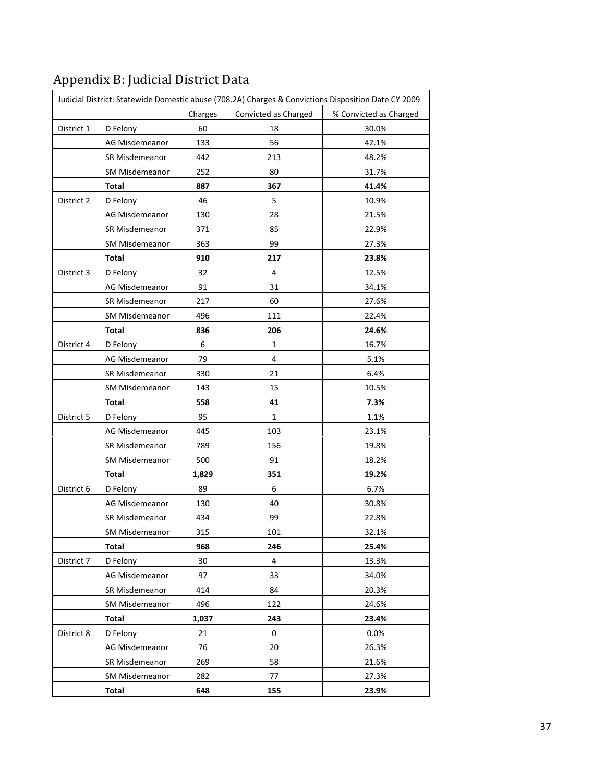|            |                       |         |                      | Judicial District: Statewide Domestic abuse (708.2A) Charges & Convictions Disposition Date CY 2009 |
|------------|-----------------------|---------|----------------------|-----------------------------------------------------------------------------------------------------|
|            |                       | Charges | Convicted as Charged | % Convicted as Charged                                                                              |
| District 1 | D Felony              | 60      | 18                   | 30.0%                                                                                               |
|            | AG Misdemeanor        | 133     | 56                   | 42.1%                                                                                               |
|            | SR Misdemeanor        | 442     | 213                  | 48.2%                                                                                               |
|            | SM Misdemeanor        | 252     | 80                   | 31.7%                                                                                               |
|            | <b>Total</b>          | 887     | 367                  | 41.4%                                                                                               |
| District 2 | D Felony              | 46      | 5                    | 10.9%                                                                                               |
|            | AG Misdemeanor        | 130     | 28                   | 21.5%                                                                                               |
|            | SR Misdemeanor        | 371     | 85                   | 22.9%                                                                                               |
|            | SM Misdemeanor        | 363     | 99                   | 27.3%                                                                                               |
|            | Total                 | 910     | 217                  | 23.8%                                                                                               |
| District 3 | D Felony              | 32      | 4                    | 12.5%                                                                                               |
|            | AG Misdemeanor        | 91      | 31                   | 34.1%                                                                                               |
|            | SR Misdemeanor        | 217     | 60                   | 27.6%                                                                                               |
|            | SM Misdemeanor        | 496     | 111                  | 22.4%                                                                                               |
|            | <b>Total</b>          | 836     | 206                  | 24.6%                                                                                               |
| District 4 | D Felony              | 6       | 1                    | 16.7%                                                                                               |
|            | AG Misdemeanor        | 79      | 4                    | 5.1%                                                                                                |
|            | SR Misdemeanor        | 330     | 21                   | 6.4%                                                                                                |
|            | SM Misdemeanor        | 143     | 15                   | 10.5%                                                                                               |
|            | <b>Total</b>          | 558     | 41                   | 7.3%                                                                                                |
| District 5 | D Felony              | 95      | $\mathbf{1}$         | 1.1%                                                                                                |
|            | AG Misdemeanor        | 445     | 103                  | 23.1%                                                                                               |
|            | SR Misdemeanor        | 789     | 156                  | 19.8%                                                                                               |
|            | SM Misdemeanor        | 500     | 91                   | 18.2%                                                                                               |
|            | Total                 | 1,829   | 351                  | 19.2%                                                                                               |
| District 6 | D Felony              | 89      | 6                    | 6.7%                                                                                                |
|            | AG Misdemeanor        | 130     | 40                   | 30.8%                                                                                               |
|            | SR Misdemeanor        | 434     | 99                   | 22.8%                                                                                               |
|            | <b>SM Misdemeanor</b> | 315     | 101                  | 32.1%                                                                                               |
|            | Total                 | 968     | 246                  | 25.4%                                                                                               |
| District 7 | D Felony              | 30      | 4                    | 13.3%                                                                                               |
|            | AG Misdemeanor        | 97      | 33                   | 34.0%                                                                                               |
|            | SR Misdemeanor        | 414     | 84                   | 20.3%                                                                                               |
|            | <b>SM Misdemeanor</b> | 496     | 122                  | 24.6%                                                                                               |
|            | <b>Total</b>          | 1,037   | 243                  | 23.4%                                                                                               |
| District 8 | D Felony              | 21      | $\pmb{0}$            | 0.0%                                                                                                |
|            | AG Misdemeanor        | 76      | 20                   | 26.3%                                                                                               |
|            | SR Misdemeanor        | 269     | 58                   | 21.6%                                                                                               |
|            | <b>SM Misdemeanor</b> | 282     | 77                   | 27.3%                                                                                               |
|            | Total                 | 648     | 155                  | 23.9%                                                                                               |

# Appendix B: Judicial District Data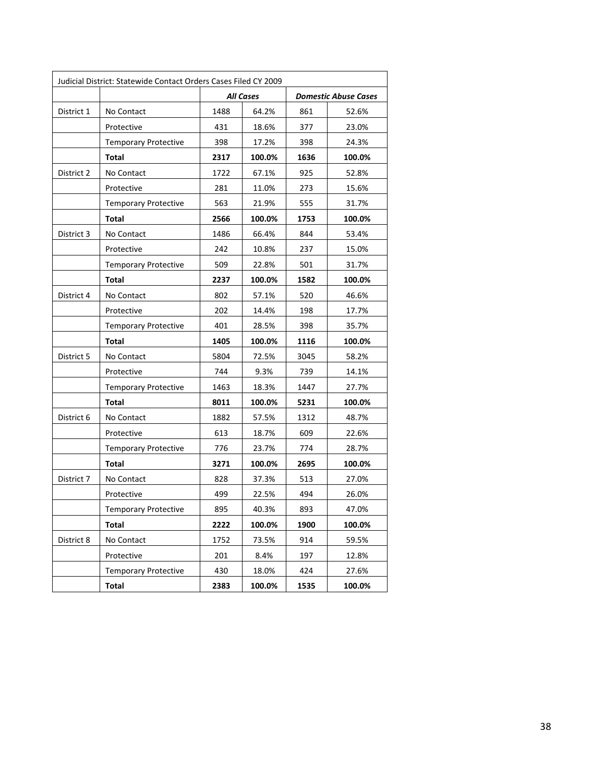| Judicial District: Statewide Contact Orders Cases Filed CY 2009 |                             |      |                  |                      |        |  |  |
|-----------------------------------------------------------------|-----------------------------|------|------------------|----------------------|--------|--|--|
|                                                                 |                             |      | <b>All Cases</b> | Domestic Abuse Cases |        |  |  |
| District 1                                                      | No Contact                  | 1488 | 64.2%            | 861                  | 52.6%  |  |  |
|                                                                 | Protective                  | 431  | 18.6%            | 377                  | 23.0%  |  |  |
|                                                                 | <b>Temporary Protective</b> | 398  | 17.2%            | 398                  | 24.3%  |  |  |
|                                                                 | Total                       | 2317 | 100.0%           | 1636                 | 100.0% |  |  |
| District 2                                                      | No Contact                  | 1722 | 67.1%            | 925                  | 52.8%  |  |  |
|                                                                 | Protective                  | 281  | 11.0%            | 273                  | 15.6%  |  |  |
|                                                                 | <b>Temporary Protective</b> | 563  | 21.9%            | 555                  | 31.7%  |  |  |
|                                                                 | Total                       | 2566 | 100.0%           | 1753                 | 100.0% |  |  |
| District 3                                                      | No Contact                  | 1486 | 66.4%            | 844                  | 53.4%  |  |  |
|                                                                 | Protective                  | 242  | 10.8%            | 237                  | 15.0%  |  |  |
|                                                                 | <b>Temporary Protective</b> | 509  | 22.8%            | 501                  | 31.7%  |  |  |
|                                                                 | Total                       | 2237 | 100.0%           | 1582                 | 100.0% |  |  |
| District 4                                                      | No Contact                  | 802  | 57.1%            | 520                  | 46.6%  |  |  |
|                                                                 | Protective                  | 202  | 14.4%            | 198                  | 17.7%  |  |  |
|                                                                 | <b>Temporary Protective</b> | 401  | 28.5%            | 398                  | 35.7%  |  |  |
|                                                                 | Total                       | 1405 | 100.0%           | 1116                 | 100.0% |  |  |
| District 5                                                      | No Contact                  | 5804 | 72.5%            | 3045                 | 58.2%  |  |  |
|                                                                 | Protective                  | 744  | 9.3%             | 739                  | 14.1%  |  |  |
|                                                                 | <b>Temporary Protective</b> | 1463 | 18.3%            | 1447                 | 27.7%  |  |  |
|                                                                 | Total                       | 8011 | 100.0%           | 5231                 | 100.0% |  |  |
| District 6                                                      | No Contact                  | 1882 | 57.5%            | 1312                 | 48.7%  |  |  |
|                                                                 | Protective                  | 613  | 18.7%            | 609                  | 22.6%  |  |  |
|                                                                 | <b>Temporary Protective</b> | 776  | 23.7%            | 774                  | 28.7%  |  |  |
|                                                                 | Total                       | 3271 | 100.0%           | 2695                 | 100.0% |  |  |
| District 7                                                      | No Contact                  | 828  | 37.3%            | 513                  | 27.0%  |  |  |
|                                                                 | Protective                  | 499  | 22.5%            | 494                  | 26.0%  |  |  |
|                                                                 | <b>Temporary Protective</b> | 895  | 40.3%            | 893                  | 47.0%  |  |  |
|                                                                 | <b>Total</b>                | 2222 | 100.0%           | 1900                 | 100.0% |  |  |
| District 8                                                      | No Contact                  | 1752 | 73.5%            | 914                  | 59.5%  |  |  |
|                                                                 | Protective                  | 201  | 8.4%             | 197                  | 12.8%  |  |  |
|                                                                 | <b>Temporary Protective</b> | 430  | 18.0%            | 424                  | 27.6%  |  |  |
|                                                                 | Total                       | 2383 | 100.0%           | 1535                 | 100.0% |  |  |